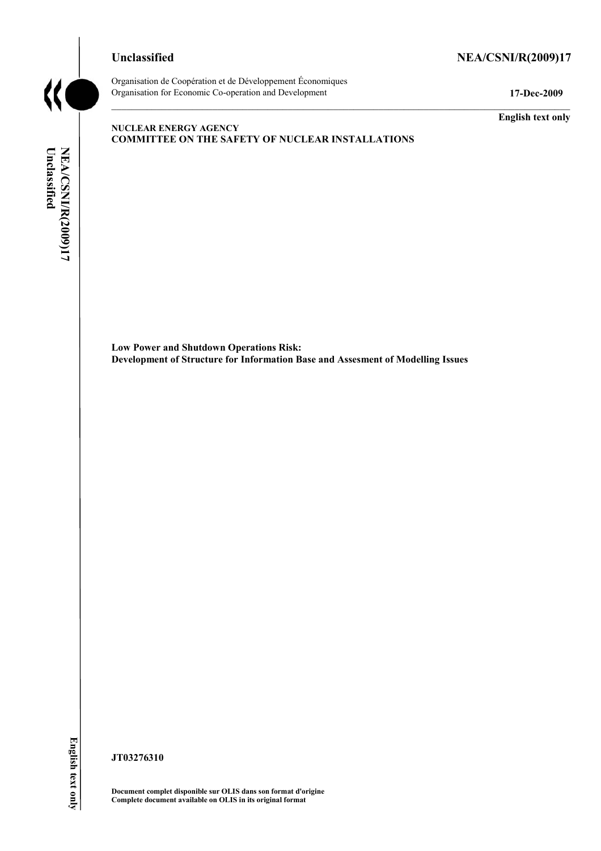# Unclassified NEA/CSNI/R(2009)17



Organisation de Coopération et de Développement Économiques Organisation for Economic Co-operation and Development **17-Dec-2009** 

**English text only** 

### **NUCLEAR ENERGY AGENCY COMMITTEE ON THE SAFETY OF NUCLEAR INSTALLATIONS**

NEA/CSNI/R(2009)17<br>Unclassified **NEA/CSNI/R(2009)17 English text onlyUnclassified** 

**Low Power and Shutdown Operations Risk: Development of Structure for Information Base and Assesment of Modelling Issues** 

**JT03276310** 

**Document complet disponible sur OLIS dans son format d'origine Complete document available on OLIS in its original format**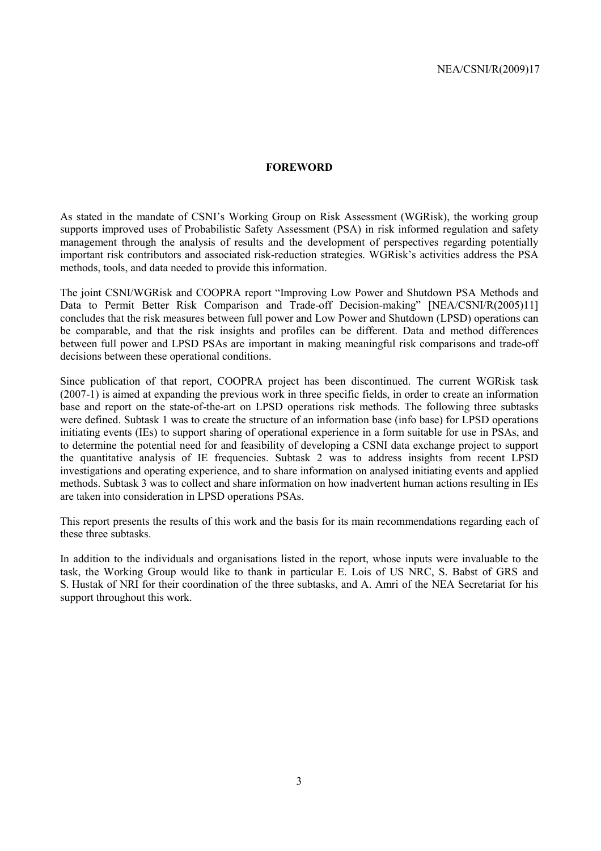### **FOREWORD**

As stated in the mandate of CSNI's Working Group on Risk Assessment (WGRisk), the working group supports improved uses of Probabilistic Safety Assessment (PSA) in risk informed regulation and safety management through the analysis of results and the development of perspectives regarding potentially important risk contributors and associated risk-reduction strategies. WGRisk's activities address the PSA methods, tools, and data needed to provide this information.

The joint CSNI/WGRisk and COOPRA report "Improving Low Power and Shutdown PSA Methods and Data to Permit Better Risk Comparison and Trade-off Decision-making" [NEA/CSNI/R(2005)11] concludes that the risk measures between full power and Low Power and Shutdown (LPSD) operations can be comparable, and that the risk insights and profiles can be different. Data and method differences between full power and LPSD PSAs are important in making meaningful risk comparisons and trade-off decisions between these operational conditions.

Since publication of that report, COOPRA project has been discontinued. The current WGRisk task (2007-1) is aimed at expanding the previous work in three specific fields, in order to create an information base and report on the state-of-the-art on LPSD operations risk methods. The following three subtasks were defined. Subtask 1 was to create the structure of an information base (info base) for LPSD operations initiating events (IEs) to support sharing of operational experience in a form suitable for use in PSAs, and to determine the potential need for and feasibility of developing a CSNI data exchange project to support the quantitative analysis of IE frequencies. Subtask 2 was to address insights from recent LPSD investigations and operating experience, and to share information on analysed initiating events and applied methods. Subtask 3 was to collect and share information on how inadvertent human actions resulting in IEs are taken into consideration in LPSD operations PSAs.

This report presents the results of this work and the basis for its main recommendations regarding each of these three subtasks.

In addition to the individuals and organisations listed in the report, whose inputs were invaluable to the task, the Working Group would like to thank in particular E. Lois of US NRC, S. Babst of GRS and S. Hustak of NRI for their coordination of the three subtasks, and A. Amri of the NEA Secretariat for his support throughout this work.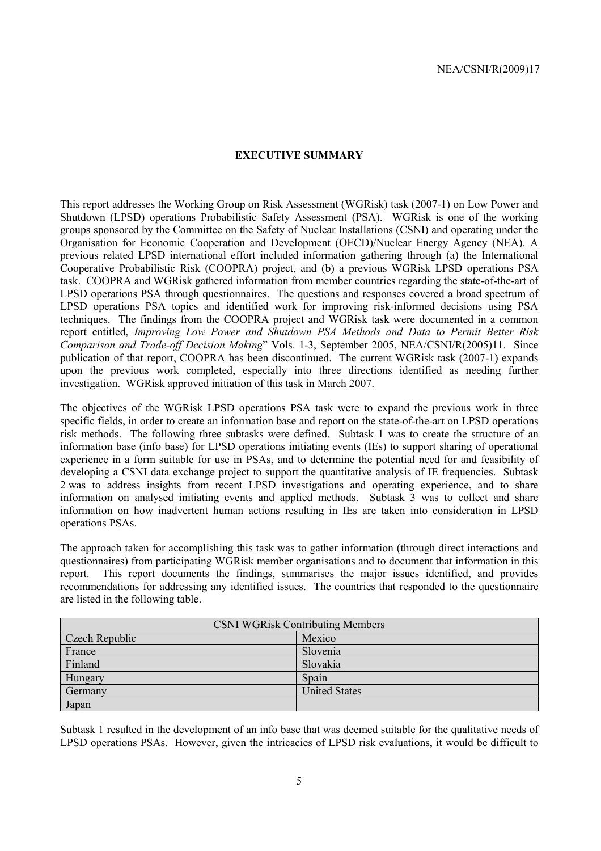### **EXECUTIVE SUMMARY**

This report addresses the Working Group on Risk Assessment (WGRisk) task (2007-1) on Low Power and Shutdown (LPSD) operations Probabilistic Safety Assessment (PSA). WGRisk is one of the working groups sponsored by the Committee on the Safety of Nuclear Installations (CSNI) and operating under the Organisation for Economic Cooperation and Development (OECD)/Nuclear Energy Agency (NEA). A previous related LPSD international effort included information gathering through (a) the International Cooperative Probabilistic Risk (COOPRA) project, and (b) a previous WGRisk LPSD operations PSA task. COOPRA and WGRisk gathered information from member countries regarding the state-of-the-art of LPSD operations PSA through questionnaires. The questions and responses covered a broad spectrum of LPSD operations PSA topics and identified work for improving risk-informed decisions using PSA techniques. The findings from the COOPRA project and WGRisk task were documented in a common report entitled, *Improving Low Power and Shutdown PSA Methods and Data to Permit Better Risk Comparison and Trade-off Decision Making*" Vols. 1-3, September 2005, NEA/CSNI/R(2005)11. Since publication of that report, COOPRA has been discontinued. The current WGRisk task (2007-1) expands upon the previous work completed, especially into three directions identified as needing further investigation. WGRisk approved initiation of this task in March 2007.

The objectives of the WGRisk LPSD operations PSA task were to expand the previous work in three specific fields, in order to create an information base and report on the state-of-the-art on LPSD operations risk methods. The following three subtasks were defined. Subtask 1 was to create the structure of an information base (info base) for LPSD operations initiating events (IEs) to support sharing of operational experience in a form suitable for use in PSAs, and to determine the potential need for and feasibility of developing a CSNI data exchange project to support the quantitative analysis of IE frequencies. Subtask 2 was to address insights from recent LPSD investigations and operating experience, and to share information on analysed initiating events and applied methods. Subtask 3 was to collect and share information on how inadvertent human actions resulting in IEs are taken into consideration in LPSD operations PSAs.

The approach taken for accomplishing this task was to gather information (through direct interactions and questionnaires) from participating WGRisk member organisations and to document that information in this report. This report documents the findings, summarises the major issues identified, and provides recommendations for addressing any identified issues. The countries that responded to the questionnaire are listed in the following table.

| <b>CSNI WGRisk Contributing Members</b> |                      |  |
|-----------------------------------------|----------------------|--|
| Czech Republic                          | Mexico               |  |
| France                                  | Slovenia             |  |
| Finland                                 | Slovakia             |  |
| Hungary                                 | Spain                |  |
| Germany                                 | <b>United States</b> |  |
| Japan                                   |                      |  |

Subtask 1 resulted in the development of an info base that was deemed suitable for the qualitative needs of LPSD operations PSAs. However, given the intricacies of LPSD risk evaluations, it would be difficult to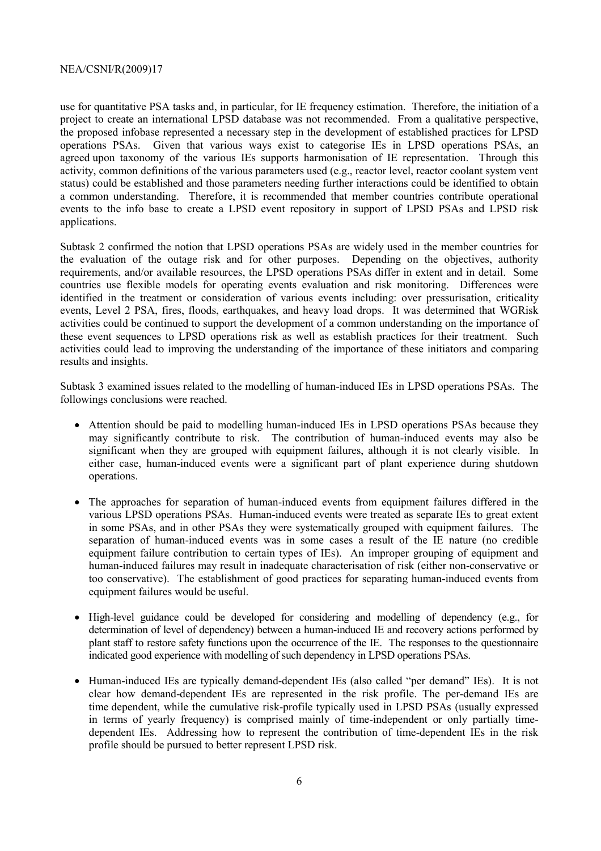use for quantitative PSA tasks and, in particular, for IE frequency estimation. Therefore, the initiation of a project to create an international LPSD database was not recommended. From a qualitative perspective, the proposed infobase represented a necessary step in the development of established practices for LPSD operations PSAs. Given that various ways exist to categorise IEs in LPSD operations PSAs, an agreed upon taxonomy of the various IEs supports harmonisation of IE representation. Through this activity, common definitions of the various parameters used (e.g., reactor level, reactor coolant system vent status) could be established and those parameters needing further interactions could be identified to obtain a common understanding. Therefore, it is recommended that member countries contribute operational events to the info base to create a LPSD event repository in support of LPSD PSAs and LPSD risk applications.

Subtask 2 confirmed the notion that LPSD operations PSAs are widely used in the member countries for the evaluation of the outage risk and for other purposes. Depending on the objectives, authority requirements, and/or available resources, the LPSD operations PSAs differ in extent and in detail. Some countries use flexible models for operating events evaluation and risk monitoring. Differences were identified in the treatment or consideration of various events including: over pressurisation, criticality events, Level 2 PSA, fires, floods, earthquakes, and heavy load drops. It was determined that WGRisk activities could be continued to support the development of a common understanding on the importance of these event sequences to LPSD operations risk as well as establish practices for their treatment. Such activities could lead to improving the understanding of the importance of these initiators and comparing results and insights.

Subtask 3 examined issues related to the modelling of human-induced IEs in LPSD operations PSAs. The followings conclusions were reached.

- Attention should be paid to modelling human-induced IEs in LPSD operations PSAs because they may significantly contribute to risk. The contribution of human-induced events may also be significant when they are grouped with equipment failures, although it is not clearly visible. In either case, human-induced events were a significant part of plant experience during shutdown operations.
- The approaches for separation of human-induced events from equipment failures differed in the various LPSD operations PSAs. Human-induced events were treated as separate IEs to great extent in some PSAs, and in other PSAs they were systematically grouped with equipment failures. The separation of human-induced events was in some cases a result of the IE nature (no credible equipment failure contribution to certain types of IEs). An improper grouping of equipment and human-induced failures may result in inadequate characterisation of risk (either non-conservative or too conservative). The establishment of good practices for separating human-induced events from equipment failures would be useful.
- High-level guidance could be developed for considering and modelling of dependency (e.g., for determination of level of dependency) between a human-induced IE and recovery actions performed by plant staff to restore safety functions upon the occurrence of the IE. The responses to the questionnaire indicated good experience with modelling of such dependency in LPSD operations PSAs.
- Human-induced IEs are typically demand-dependent IEs (also called "per demand" IEs). It is not clear how demand-dependent IEs are represented in the risk profile. The per-demand IEs are time dependent, while the cumulative risk-profile typically used in LPSD PSAs (usually expressed in terms of yearly frequency) is comprised mainly of time-independent or only partially timedependent IEs. Addressing how to represent the contribution of time-dependent IEs in the risk profile should be pursued to better represent LPSD risk.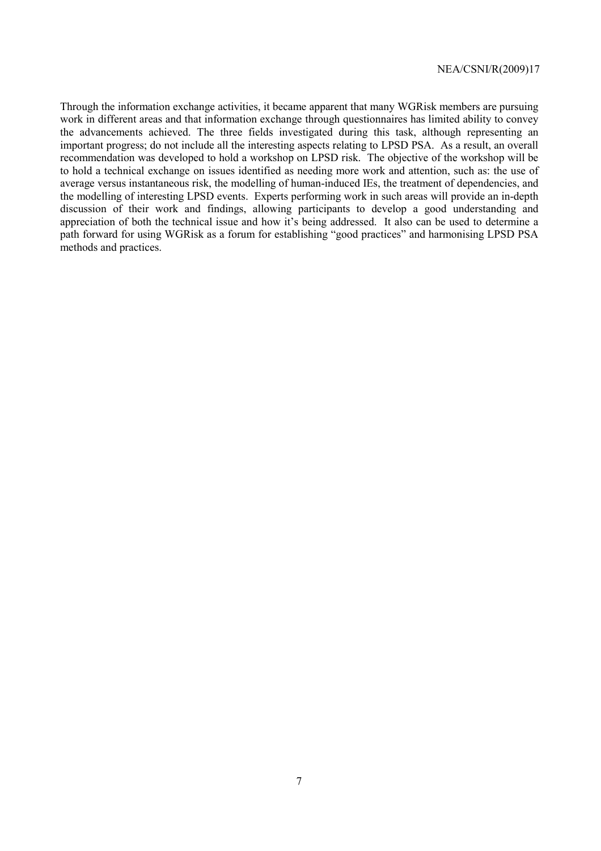Through the information exchange activities, it became apparent that many WGRisk members are pursuing work in different areas and that information exchange through questionnaires has limited ability to convey the advancements achieved. The three fields investigated during this task, although representing an important progress; do not include all the interesting aspects relating to LPSD PSA. As a result, an overall recommendation was developed to hold a workshop on LPSD risk. The objective of the workshop will be to hold a technical exchange on issues identified as needing more work and attention, such as: the use of average versus instantaneous risk, the modelling of human-induced IEs, the treatment of dependencies, and the modelling of interesting LPSD events. Experts performing work in such areas will provide an in-depth discussion of their work and findings, allowing participants to develop a good understanding and appreciation of both the technical issue and how it's being addressed. It also can be used to determine a path forward for using WGRisk as a forum for establishing "good practices" and harmonising LPSD PSA methods and practices.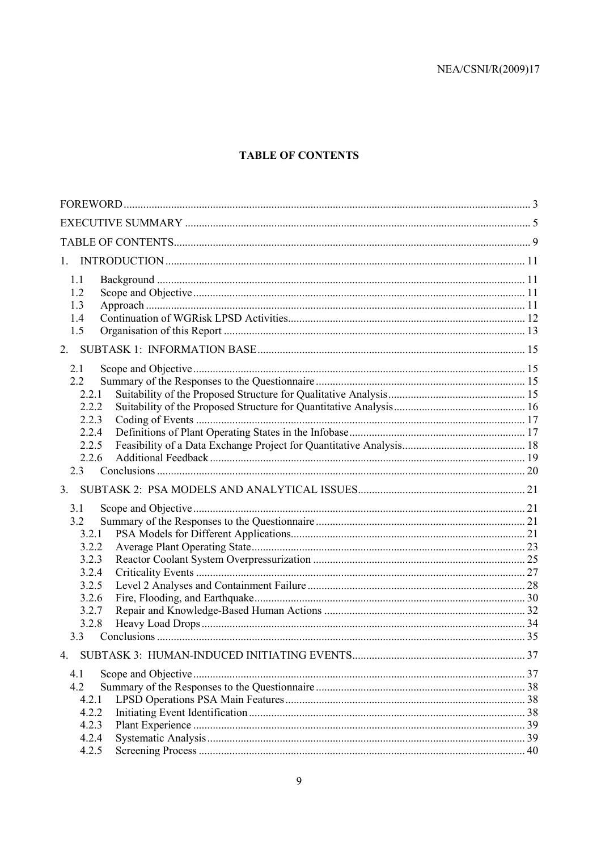# **TABLE OF CONTENTS**

| 1.1<br>1.2<br>1.3<br>1.4 |  |
|--------------------------|--|
| 1.5                      |  |
| 2.                       |  |
| 2.1                      |  |
| 2.2                      |  |
| 2.2.1                    |  |
| 2.2.2                    |  |
| 2.2.3                    |  |
| 2.2.4                    |  |
| 2.2.5<br>2.2.6           |  |
| 2.3                      |  |
| 3.                       |  |
|                          |  |
| 3.1                      |  |
| 3.2<br>3.2.1             |  |
| 3.2.2                    |  |
| 3.2.3                    |  |
| 3.2.4                    |  |
| 3.2.5                    |  |
| 3.2.6                    |  |
| 3.2.7                    |  |
| 3.2.8                    |  |
| 3.3                      |  |
|                          |  |
| 4.1                      |  |
| 4.2                      |  |
| 4.2.1                    |  |
| 4.2.2                    |  |
| 4.2.3                    |  |
| 4.2.4                    |  |
| 4.2.5                    |  |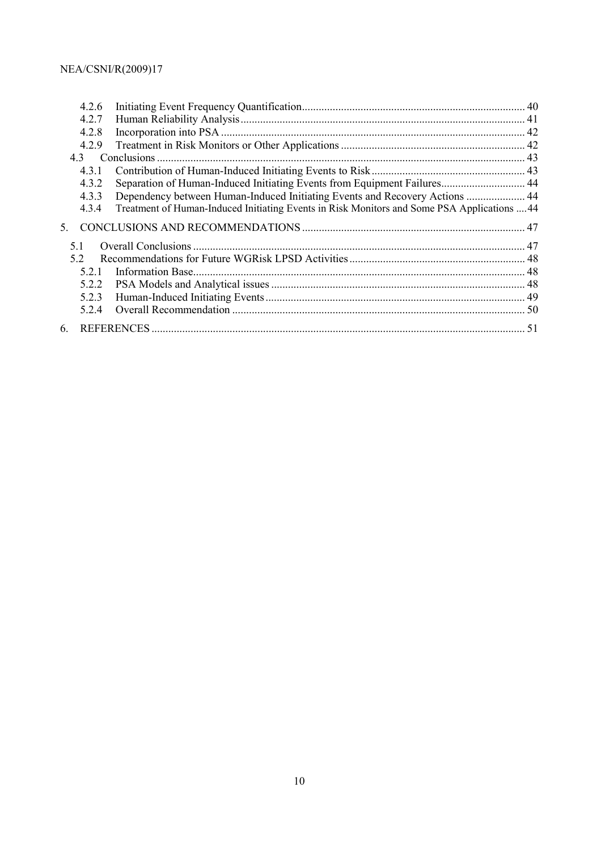|         | 4.2.6 |                                                                                             |  |
|---------|-------|---------------------------------------------------------------------------------------------|--|
|         | 4.2.7 |                                                                                             |  |
|         | 4.2.8 |                                                                                             |  |
|         | 4.2.9 |                                                                                             |  |
|         |       |                                                                                             |  |
|         | 4.3.1 |                                                                                             |  |
|         | 4.3.2 | Separation of Human-Induced Initiating Events from Equipment Failures 44                    |  |
|         | 4.3.3 | Dependency between Human-Induced Initiating Events and Recovery Actions  44                 |  |
|         | 4.3.4 | Treatment of Human-Induced Initiating Events in Risk Monitors and Some PSA Applications  44 |  |
| $5_{-}$ |       |                                                                                             |  |
| 51      |       |                                                                                             |  |
| 52      |       |                                                                                             |  |
|         | 521   |                                                                                             |  |
|         | 5.2.2 |                                                                                             |  |
|         | 5.2.3 |                                                                                             |  |
|         | 5.2.4 |                                                                                             |  |
| 6       |       |                                                                                             |  |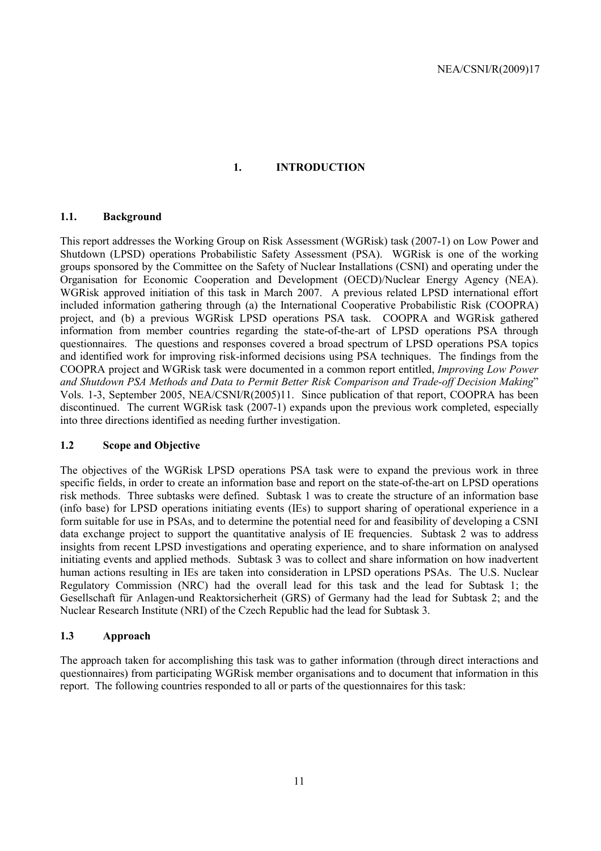### **1. INTRODUCTION**

### **1.1. Background**

This report addresses the Working Group on Risk Assessment (WGRisk) task (2007-1) on Low Power and Shutdown (LPSD) operations Probabilistic Safety Assessment (PSA). WGRisk is one of the working groups sponsored by the Committee on the Safety of Nuclear Installations (CSNI) and operating under the Organisation for Economic Cooperation and Development (OECD)/Nuclear Energy Agency (NEA). WGRisk approved initiation of this task in March 2007. A previous related LPSD international effort included information gathering through (a) the International Cooperative Probabilistic Risk (COOPRA) project, and (b) a previous WGRisk LPSD operations PSA task. COOPRA and WGRisk gathered information from member countries regarding the state-of-the-art of LPSD operations PSA through questionnaires. The questions and responses covered a broad spectrum of LPSD operations PSA topics and identified work for improving risk-informed decisions using PSA techniques. The findings from the COOPRA project and WGRisk task were documented in a common report entitled, *Improving Low Power and Shutdown PSA Methods and Data to Permit Better Risk Comparison and Trade-off Decision Making*" Vols. 1-3, September 2005, NEA/CSNI/R(2005)11. Since publication of that report, COOPRA has been discontinued. The current WGRisk task (2007-1) expands upon the previous work completed, especially into three directions identified as needing further investigation.

### **1.2 Scope and Objective**

The objectives of the WGRisk LPSD operations PSA task were to expand the previous work in three specific fields, in order to create an information base and report on the state-of-the-art on LPSD operations risk methods. Three subtasks were defined. Subtask 1 was to create the structure of an information base (info base) for LPSD operations initiating events (IEs) to support sharing of operational experience in a form suitable for use in PSAs, and to determine the potential need for and feasibility of developing a CSNI data exchange project to support the quantitative analysis of IE frequencies. Subtask 2 was to address insights from recent LPSD investigations and operating experience, and to share information on analysed initiating events and applied methods. Subtask 3 was to collect and share information on how inadvertent human actions resulting in IEs are taken into consideration in LPSD operations PSAs. The U.S. Nuclear Regulatory Commission (NRC) had the overall lead for this task and the lead for Subtask 1; the Gesellschaft für Anlagen-und Reaktorsicherheit (GRS) of Germany had the lead for Subtask 2; and the Nuclear Research Institute (NRI) of the Czech Republic had the lead for Subtask 3.

### **1.3 Approach**

The approach taken for accomplishing this task was to gather information (through direct interactions and questionnaires) from participating WGRisk member organisations and to document that information in this report. The following countries responded to all or parts of the questionnaires for this task: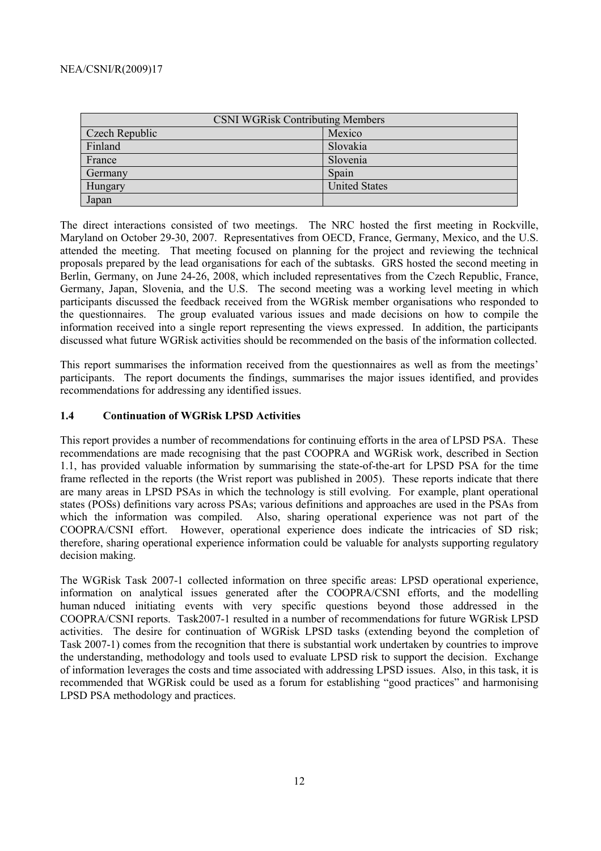| <b>CSNI WGRisk Contributing Members</b> |                      |  |
|-----------------------------------------|----------------------|--|
| Czech Republic                          | Mexico               |  |
| Finland                                 | Slovakia             |  |
| France                                  | Slovenia             |  |
| Germany                                 | Spain                |  |
| Hungary                                 | <b>United States</b> |  |
| Japan                                   |                      |  |

The direct interactions consisted of two meetings. The NRC hosted the first meeting in Rockville, Maryland on October 29-30, 2007. Representatives from OECD, France, Germany, Mexico, and the U.S. attended the meeting. That meeting focused on planning for the project and reviewing the technical proposals prepared by the lead organisations for each of the subtasks. GRS hosted the second meeting in Berlin, Germany, on June 24-26, 2008, which included representatives from the Czech Republic, France, Germany, Japan, Slovenia, and the U.S. The second meeting was a working level meeting in which participants discussed the feedback received from the WGRisk member organisations who responded to the questionnaires. The group evaluated various issues and made decisions on how to compile the information received into a single report representing the views expressed. In addition, the participants discussed what future WGRisk activities should be recommended on the basis of the information collected.

This report summarises the information received from the questionnaires as well as from the meetings' participants. The report documents the findings, summarises the major issues identified, and provides recommendations for addressing any identified issues.

### **1.4 Continuation of WGRisk LPSD Activities**

This report provides a number of recommendations for continuing efforts in the area of LPSD PSA. These recommendations are made recognising that the past COOPRA and WGRisk work, described in Section 1.1, has provided valuable information by summarising the state-of-the-art for LPSD PSA for the time frame reflected in the reports (the Wrist report was published in 2005). These reports indicate that there are many areas in LPSD PSAs in which the technology is still evolving. For example, plant operational states (POSs) definitions vary across PSAs; various definitions and approaches are used in the PSAs from which the information was compiled. Also, sharing operational experience was not part of the COOPRA/CSNI effort. However, operational experience does indicate the intricacies of SD risk; therefore, sharing operational experience information could be valuable for analysts supporting regulatory decision making.

The WGRisk Task 2007-1 collected information on three specific areas: LPSD operational experience, information on analytical issues generated after the COOPRA/CSNI efforts, and the modelling human nduced initiating events with very specific questions beyond those addressed in the COOPRA/CSNI reports. Task2007-1 resulted in a number of recommendations for future WGRisk LPSD activities. The desire for continuation of WGRisk LPSD tasks (extending beyond the completion of Task 2007-1) comes from the recognition that there is substantial work undertaken by countries to improve the understanding, methodology and tools used to evaluate LPSD risk to support the decision. Exchange of information leverages the costs and time associated with addressing LPSD issues. Also, in this task, it is recommended that WGRisk could be used as a forum for establishing "good practices" and harmonising LPSD PSA methodology and practices.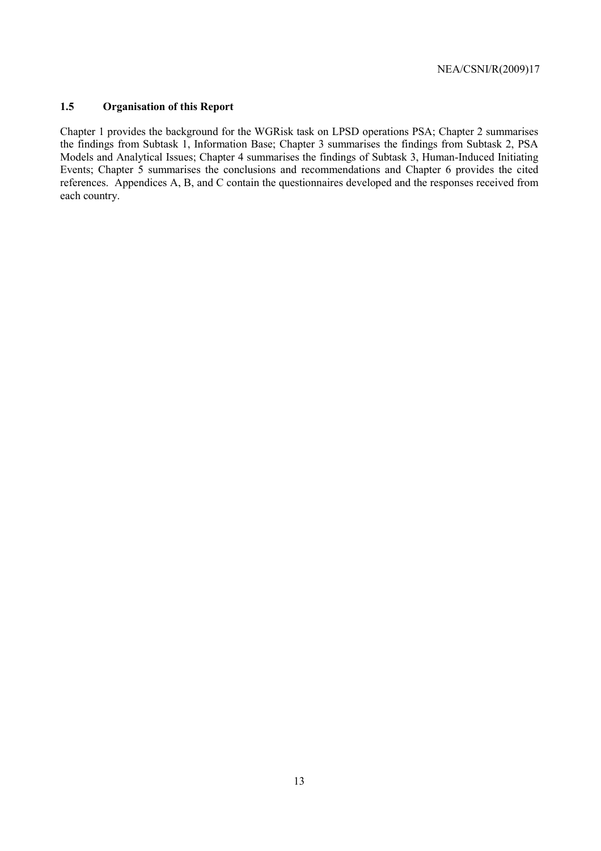### **1.5 Organisation of this Report**

Chapter 1 provides the background for the WGRisk task on LPSD operations PSA; Chapter 2 summarises the findings from Subtask 1, Information Base; Chapter 3 summarises the findings from Subtask 2, PSA Models and Analytical Issues; Chapter 4 summarises the findings of Subtask 3, Human-Induced Initiating Events; Chapter 5 summarises the conclusions and recommendations and Chapter 6 provides the cited references. Appendices A, B, and C contain the questionnaires developed and the responses received from each country.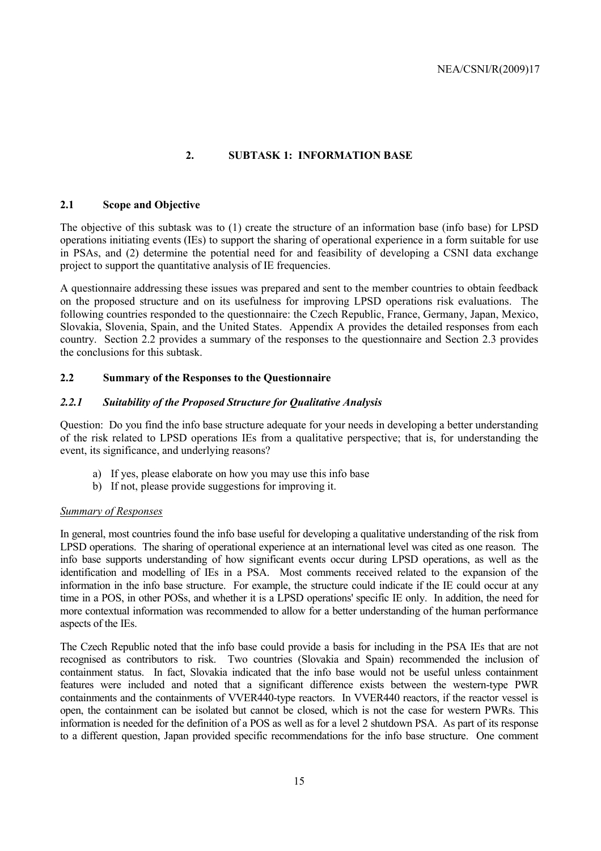### **2. SUBTASK 1: INFORMATION BASE**

### **2.1 Scope and Objective**

The objective of this subtask was to (1) create the structure of an information base (info base) for LPSD operations initiating events (IEs) to support the sharing of operational experience in a form suitable for use in PSAs, and (2) determine the potential need for and feasibility of developing a CSNI data exchange project to support the quantitative analysis of IE frequencies.

A questionnaire addressing these issues was prepared and sent to the member countries to obtain feedback on the proposed structure and on its usefulness for improving LPSD operations risk evaluations. The following countries responded to the questionnaire: the Czech Republic, France, Germany, Japan, Mexico, Slovakia, Slovenia, Spain, and the United States. Appendix A provides the detailed responses from each country. Section 2.2 provides a summary of the responses to the questionnaire and Section 2.3 provides the conclusions for this subtask.

#### **2.2 Summary of the Responses to the Questionnaire**

#### *2.2.1 Suitability of the Proposed Structure for Qualitative Analysis*

Question: Do you find the info base structure adequate for your needs in developing a better understanding of the risk related to LPSD operations IEs from a qualitative perspective; that is, for understanding the event, its significance, and underlying reasons?

- a) If yes, please elaborate on how you may use this info base
- b) If not, please provide suggestions for improving it.

#### *Summary of Responses*

In general, most countries found the info base useful for developing a qualitative understanding of the risk from LPSD operations. The sharing of operational experience at an international level was cited as one reason. The info base supports understanding of how significant events occur during LPSD operations, as well as the identification and modelling of IEs in a PSA. Most comments received related to the expansion of the information in the info base structure. For example, the structure could indicate if the IE could occur at any time in a POS, in other POSs, and whether it is a LPSD operations' specific IE only. In addition, the need for more contextual information was recommended to allow for a better understanding of the human performance aspects of the IEs.

The Czech Republic noted that the info base could provide a basis for including in the PSA IEs that are not recognised as contributors to risk. Two countries (Slovakia and Spain) recommended the inclusion of containment status. In fact, Slovakia indicated that the info base would not be useful unless containment features were included and noted that a significant difference exists between the western-type PWR containments and the containments of VVER440-type reactors. In VVER440 reactors, if the reactor vessel is open, the containment can be isolated but cannot be closed, which is not the case for western PWRs. This information is needed for the definition of a POS as well as for a level 2 shutdown PSA. As part of its response to a different question, Japan provided specific recommendations for the info base structure. One comment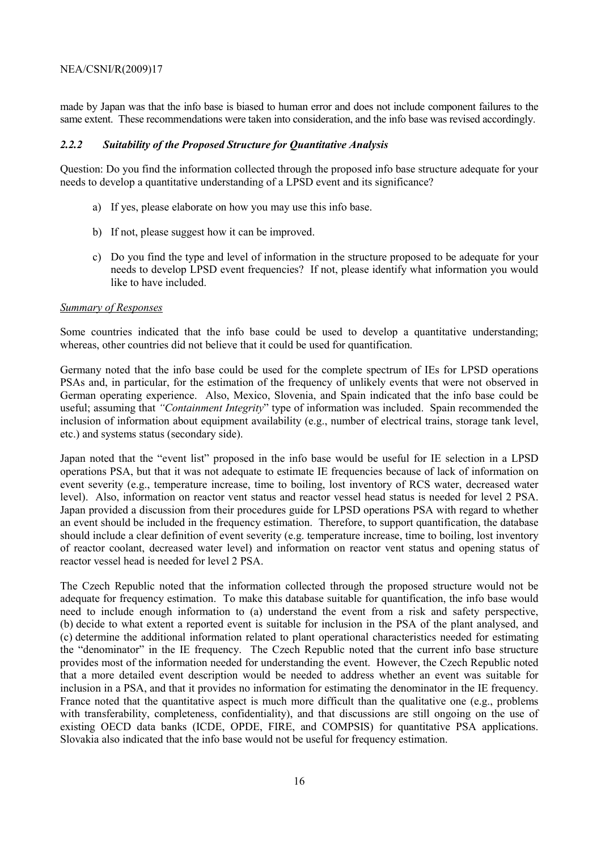made by Japan was that the info base is biased to human error and does not include component failures to the same extent. These recommendations were taken into consideration, and the info base was revised accordingly.

#### *2.2.2 Suitability of the Proposed Structure for Quantitative Analysis*

Question: Do you find the information collected through the proposed info base structure adequate for your needs to develop a quantitative understanding of a LPSD event and its significance?

- a) If yes, please elaborate on how you may use this info base.
- b) If not, please suggest how it can be improved.
- c) Do you find the type and level of information in the structure proposed to be adequate for your needs to develop LPSD event frequencies? If not, please identify what information you would like to have included.

#### *Summary of Responses*

Some countries indicated that the info base could be used to develop a quantitative understanding; whereas, other countries did not believe that it could be used for quantification.

Germany noted that the info base could be used for the complete spectrum of IEs for LPSD operations PSAs and, in particular, for the estimation of the frequency of unlikely events that were not observed in German operating experience. Also, Mexico, Slovenia, and Spain indicated that the info base could be useful; assuming that *"Containment Integrity*" type of information was included. Spain recommended the inclusion of information about equipment availability (e.g., number of electrical trains, storage tank level, etc.) and systems status (secondary side).

Japan noted that the "event list" proposed in the info base would be useful for IE selection in a LPSD operations PSA, but that it was not adequate to estimate IE frequencies because of lack of information on event severity (e.g., temperature increase, time to boiling, lost inventory of RCS water, decreased water level). Also, information on reactor vent status and reactor vessel head status is needed for level 2 PSA. Japan provided a discussion from their procedures guide for LPSD operations PSA with regard to whether an event should be included in the frequency estimation. Therefore, to support quantification, the database should include a clear definition of event severity (e.g. temperature increase, time to boiling, lost inventory of reactor coolant, decreased water level) and information on reactor vent status and opening status of reactor vessel head is needed for level 2 PSA.

The Czech Republic noted that the information collected through the proposed structure would not be adequate for frequency estimation. To make this database suitable for quantification, the info base would need to include enough information to (a) understand the event from a risk and safety perspective, (b) decide to what extent a reported event is suitable for inclusion in the PSA of the plant analysed, and (c) determine the additional information related to plant operational characteristics needed for estimating the "denominator" in the IE frequency. The Czech Republic noted that the current info base structure provides most of the information needed for understanding the event. However, the Czech Republic noted that a more detailed event description would be needed to address whether an event was suitable for inclusion in a PSA, and that it provides no information for estimating the denominator in the IE frequency. France noted that the quantitative aspect is much more difficult than the qualitative one (e.g., problems with transferability, completeness, confidentiality), and that discussions are still ongoing on the use of existing OECD data banks (ICDE, OPDE, FIRE, and COMPSIS) for quantitative PSA applications. Slovakia also indicated that the info base would not be useful for frequency estimation.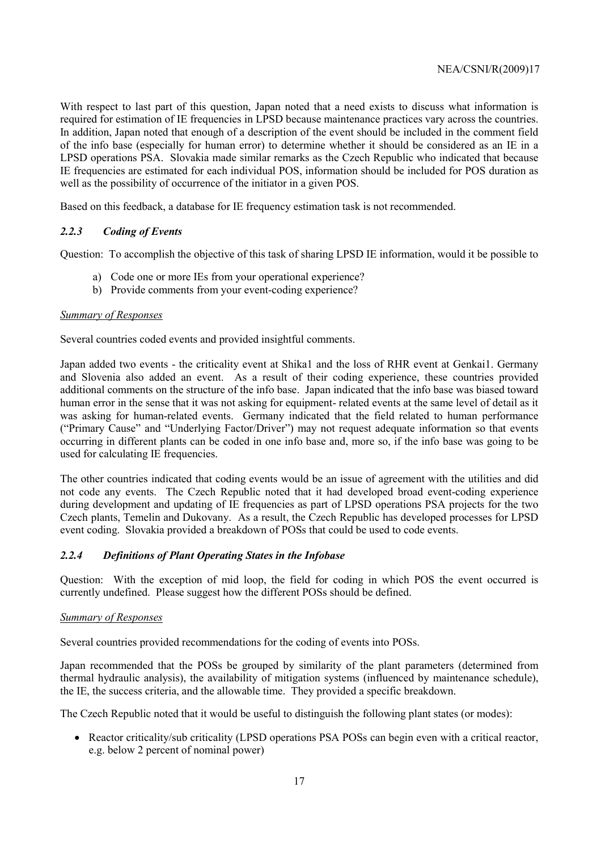With respect to last part of this question, Japan noted that a need exists to discuss what information is required for estimation of IE frequencies in LPSD because maintenance practices vary across the countries. In addition, Japan noted that enough of a description of the event should be included in the comment field of the info base (especially for human error) to determine whether it should be considered as an IE in a LPSD operations PSA. Slovakia made similar remarks as the Czech Republic who indicated that because IE frequencies are estimated for each individual POS, information should be included for POS duration as well as the possibility of occurrence of the initiator in a given POS.

Based on this feedback, a database for IE frequency estimation task is not recommended.

### *2.2.3 Coding of Events*

Question: To accomplish the objective of this task of sharing LPSD IE information, would it be possible to

- a) Code one or more IEs from your operational experience?
- b) Provide comments from your event-coding experience?

### *Summary of Responses*

Several countries coded events and provided insightful comments.

Japan added two events - the criticality event at Shika1 and the loss of RHR event at Genkai1. Germany and Slovenia also added an event. As a result of their coding experience, these countries provided additional comments on the structure of the info base. Japan indicated that the info base was biased toward human error in the sense that it was not asking for equipment- related events at the same level of detail as it was asking for human-related events. Germany indicated that the field related to human performance ("Primary Cause" and "Underlying Factor/Driver") may not request adequate information so that events occurring in different plants can be coded in one info base and, more so, if the info base was going to be used for calculating IE frequencies.

The other countries indicated that coding events would be an issue of agreement with the utilities and did not code any events. The Czech Republic noted that it had developed broad event-coding experience during development and updating of IE frequencies as part of LPSD operations PSA projects for the two Czech plants, Temelin and Dukovany. As a result, the Czech Republic has developed processes for LPSD event coding. Slovakia provided a breakdown of POSs that could be used to code events.

### *2.2.4 Definitions of Plant Operating States in the Infobase*

Question: With the exception of mid loop, the field for coding in which POS the event occurred is currently undefined. Please suggest how the different POSs should be defined.

### *Summary of Responses*

Several countries provided recommendations for the coding of events into POSs.

Japan recommended that the POSs be grouped by similarity of the plant parameters (determined from thermal hydraulic analysis), the availability of mitigation systems (influenced by maintenance schedule), the IE, the success criteria, and the allowable time. They provided a specific breakdown.

The Czech Republic noted that it would be useful to distinguish the following plant states (or modes):

• Reactor criticality/sub criticality (LPSD operations PSA POSs can begin even with a critical reactor, e.g. below 2 percent of nominal power)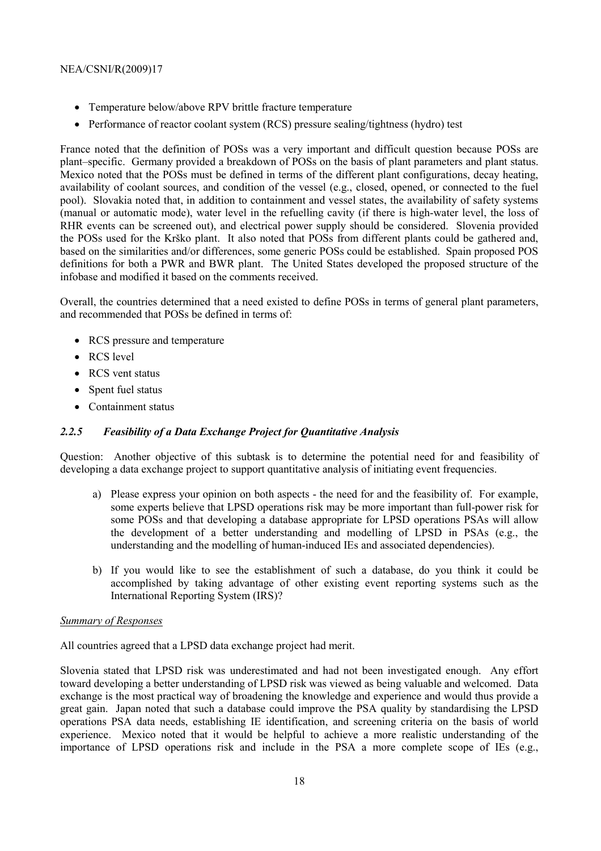- Temperature below/above RPV brittle fracture temperature
- Performance of reactor coolant system (RCS) pressure sealing/tightness (hydro) test

France noted that the definition of POSs was a very important and difficult question because POSs are plant–specific. Germany provided a breakdown of POSs on the basis of plant parameters and plant status. Mexico noted that the POSs must be defined in terms of the different plant configurations, decay heating, availability of coolant sources, and condition of the vessel (e.g., closed, opened, or connected to the fuel pool). Slovakia noted that, in addition to containment and vessel states, the availability of safety systems (manual or automatic mode), water level in the refuelling cavity (if there is high-water level, the loss of RHR events can be screened out), and electrical power supply should be considered. Slovenia provided the POSs used for the Krško plant. It also noted that POSs from different plants could be gathered and, based on the similarities and/or differences, some generic POSs could be established. Spain proposed POS definitions for both a PWR and BWR plant. The United States developed the proposed structure of the infobase and modified it based on the comments received.

Overall, the countries determined that a need existed to define POSs in terms of general plant parameters, and recommended that POSs be defined in terms of:

- RCS pressure and temperature
- RCS level
- RCS vent status
- Spent fuel status
- Containment status

### *2.2.5 Feasibility of a Data Exchange Project for Quantitative Analysis*

Question: Another objective of this subtask is to determine the potential need for and feasibility of developing a data exchange project to support quantitative analysis of initiating event frequencies.

- a) Please express your opinion on both aspects the need for and the feasibility of. For example, some experts believe that LPSD operations risk may be more important than full-power risk for some POSs and that developing a database appropriate for LPSD operations PSAs will allow the development of a better understanding and modelling of LPSD in PSAs (e.g., the understanding and the modelling of human-induced IEs and associated dependencies).
- b) If you would like to see the establishment of such a database, do you think it could be accomplished by taking advantage of other existing event reporting systems such as the International Reporting System (IRS)?

### *Summary of Responses*

All countries agreed that a LPSD data exchange project had merit.

Slovenia stated that LPSD risk was underestimated and had not been investigated enough. Any effort toward developing a better understanding of LPSD risk was viewed as being valuable and welcomed. Data exchange is the most practical way of broadening the knowledge and experience and would thus provide a great gain. Japan noted that such a database could improve the PSA quality by standardising the LPSD operations PSA data needs, establishing IE identification, and screening criteria on the basis of world experience. Mexico noted that it would be helpful to achieve a more realistic understanding of the importance of LPSD operations risk and include in the PSA a more complete scope of IEs (e.g.,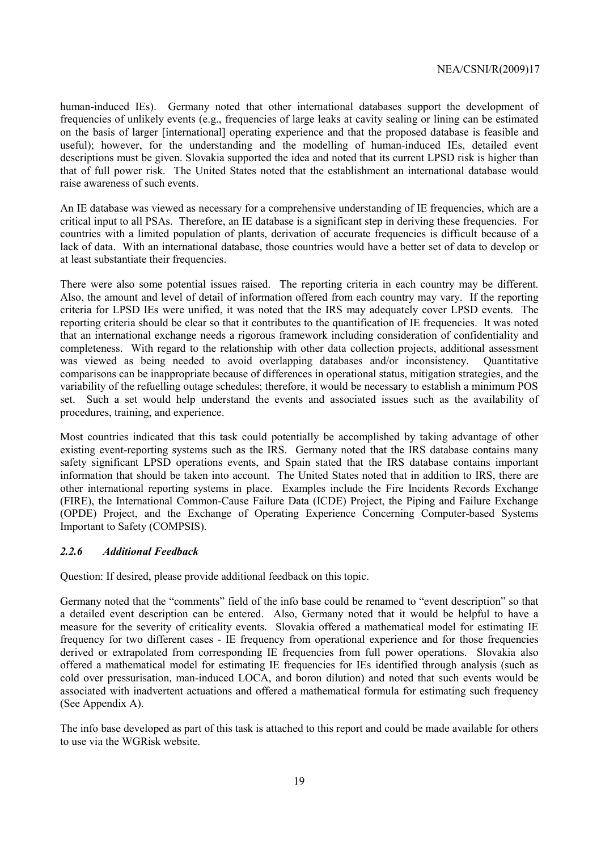human-induced IEs). Germany noted that other international databases support the development of frequencies of unlikely events (e.g., frequencies of large leaks at cavity sealing or lining can be estimated on the basis of larger [international] operating experience and that the proposed database is feasible and useful); however, for the understanding and the modelling of human-induced IEs, detailed event descriptions must be given. Slovakia supported the idea and noted that its current LPSD risk is higher than that of full power risk. The United States noted that the establishment an international database would raise awareness of such events.

An IE database was viewed as necessary for a comprehensive understanding of IE frequencies, which are a critical input to all PSAs. Therefore, an IE database is a significant step in deriving these frequencies. For countries with a limited population of plants, derivation of accurate frequencies is difficult because of a lack of data. With an international database, those countries would have a better set of data to develop or at least substantiate their frequencies.

There were also some potential issues raised. The reporting criteria in each country may be different. Also, the amount and level of detail of information offered from each country may vary. If the reporting criteria for LPSD IEs were unified, it was noted that the IRS may adequately cover LPSD events. The reporting criteria should be clear so that it contributes to the quantification of IE frequencies. It was noted that an international exchange needs a rigorous framework including consideration of confidentiality and completeness. With regard to the relationship with other data collection projects, additional assessment was viewed as being needed to avoid overlapping databases and/or inconsistency. Quantitative comparisons can be inappropriate because of differences in operational status, mitigation strategies, and the variability of the refuelling outage schedules; therefore, it would be necessary to establish a minimum POS set. Such a set would help understand the events and associated issues such as the availability of procedures, training, and experience.

Most countries indicated that this task could potentially be accomplished by taking advantage of other existing event-reporting systems such as the IRS. Germany noted that the IRS database contains many safety significant LPSD operations events, and Spain stated that the IRS database contains important information that should be taken into account. The United States noted that in addition to IRS, there are other international reporting systems in place. Examples include the Fire Incidents Records Exchange (FIRE), the International Common-Cause Failure Data (ICDE) Project, the Piping and Failure Exchange (OPDE) Project, and the Exchange of Operating Experience Concerning Computer-based Systems Important to Safety (COMPSIS).

#### *2.2.6 Additional Feedback*

Question: If desired, please provide additional feedback on this topic.

Germany noted that the "comments" field of the info base could be renamed to "event description" so that a detailed event description can be entered. Also, Germany noted that it would be helpful to have a measure for the severity of criticality events. Slovakia offered a mathematical model for estimating IE frequency for two different cases - IE frequency from operational experience and for those frequencies derived or extrapolated from corresponding IE frequencies from full power operations. Slovakia also offered a mathematical model for estimating IE frequencies for IEs identified through analysis (such as cold over pressurisation, man-induced LOCA, and boron dilution) and noted that such events would be associated with inadvertent actuations and offered a mathematical formula for estimating such frequency (See Appendix A).

The info base developed as part of this task is attached to this report and could be made available for others to use via the WGRisk website.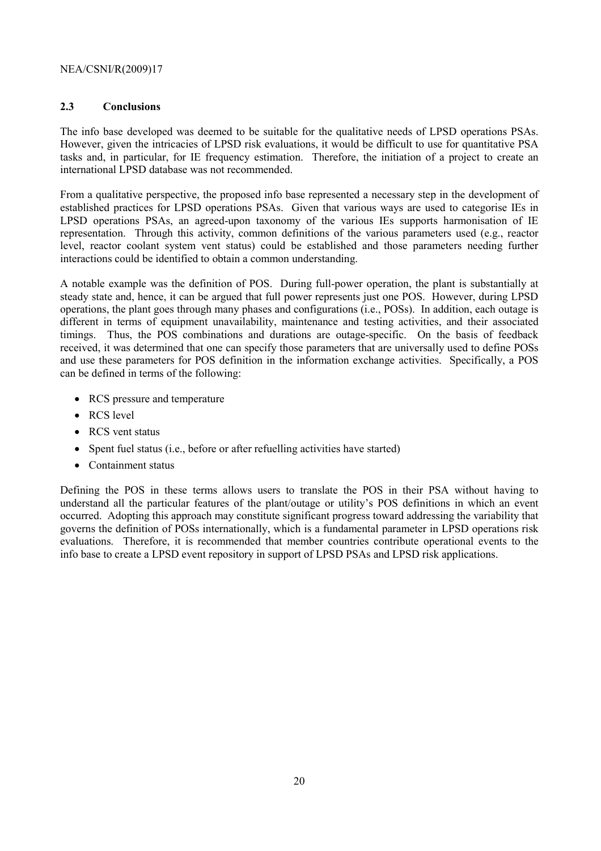### **2.3 Conclusions**

The info base developed was deemed to be suitable for the qualitative needs of LPSD operations PSAs. However, given the intricacies of LPSD risk evaluations, it would be difficult to use for quantitative PSA tasks and, in particular, for IE frequency estimation. Therefore, the initiation of a project to create an international LPSD database was not recommended.

From a qualitative perspective, the proposed info base represented a necessary step in the development of established practices for LPSD operations PSAs. Given that various ways are used to categorise IEs in LPSD operations PSAs, an agreed-upon taxonomy of the various IEs supports harmonisation of IE representation. Through this activity, common definitions of the various parameters used (e.g., reactor level, reactor coolant system vent status) could be established and those parameters needing further interactions could be identified to obtain a common understanding.

A notable example was the definition of POS. During full-power operation, the plant is substantially at steady state and, hence, it can be argued that full power represents just one POS. However, during LPSD operations, the plant goes through many phases and configurations (i.e., POSs). In addition, each outage is different in terms of equipment unavailability, maintenance and testing activities, and their associated timings. Thus, the POS combinations and durations are outage-specific. On the basis of feedback received, it was determined that one can specify those parameters that are universally used to define POSs and use these parameters for POS definition in the information exchange activities. Specifically, a POS can be defined in terms of the following:

- RCS pressure and temperature
- RCS level
- RCS vent status
- Spent fuel status (i.e., before or after refuelling activities have started)
- Containment status

Defining the POS in these terms allows users to translate the POS in their PSA without having to understand all the particular features of the plant/outage or utility's POS definitions in which an event occurred. Adopting this approach may constitute significant progress toward addressing the variability that governs the definition of POSs internationally, which is a fundamental parameter in LPSD operations risk evaluations. Therefore, it is recommended that member countries contribute operational events to the info base to create a LPSD event repository in support of LPSD PSAs and LPSD risk applications.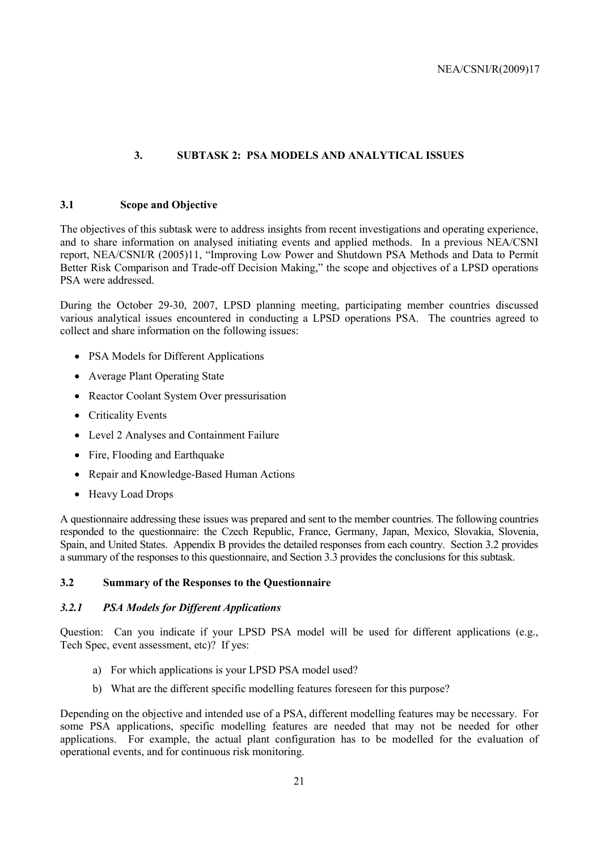### **3. SUBTASK 2: PSA MODELS AND ANALYTICAL ISSUES**

#### **3.1 Scope and Objective**

The objectives of this subtask were to address insights from recent investigations and operating experience, and to share information on analysed initiating events and applied methods. In a previous NEA/CSNI report, NEA/CSNI/R (2005)11, "Improving Low Power and Shutdown PSA Methods and Data to Permit Better Risk Comparison and Trade-off Decision Making," the scope and objectives of a LPSD operations PSA were addressed.

During the October 29-30, 2007, LPSD planning meeting, participating member countries discussed various analytical issues encountered in conducting a LPSD operations PSA. The countries agreed to collect and share information on the following issues:

- PSA Models for Different Applications
- Average Plant Operating State
- Reactor Coolant System Over pressurisation
- Criticality Events
- Level 2 Analyses and Containment Failure
- Fire, Flooding and Earthquake
- Repair and Knowledge-Based Human Actions
- Heavy Load Drops

A questionnaire addressing these issues was prepared and sent to the member countries. The following countries responded to the questionnaire: the Czech Republic, France, Germany, Japan, Mexico, Slovakia, Slovenia, Spain, and United States. Appendix B provides the detailed responses from each country. Section 3.2 provides a summary of the responses to this questionnaire, and Section 3.3 provides the conclusions for this subtask.

### **3.2 Summary of the Responses to the Questionnaire**

#### *3.2.1 PSA Models for Different Applications*

Question: Can you indicate if your LPSD PSA model will be used for different applications (e.g., Tech Spec, event assessment, etc)? If yes:

- a) For which applications is your LPSD PSA model used?
- b) What are the different specific modelling features foreseen for this purpose?

Depending on the objective and intended use of a PSA, different modelling features may be necessary. For some PSA applications, specific modelling features are needed that may not be needed for other applications. For example, the actual plant configuration has to be modelled for the evaluation of operational events, and for continuous risk monitoring.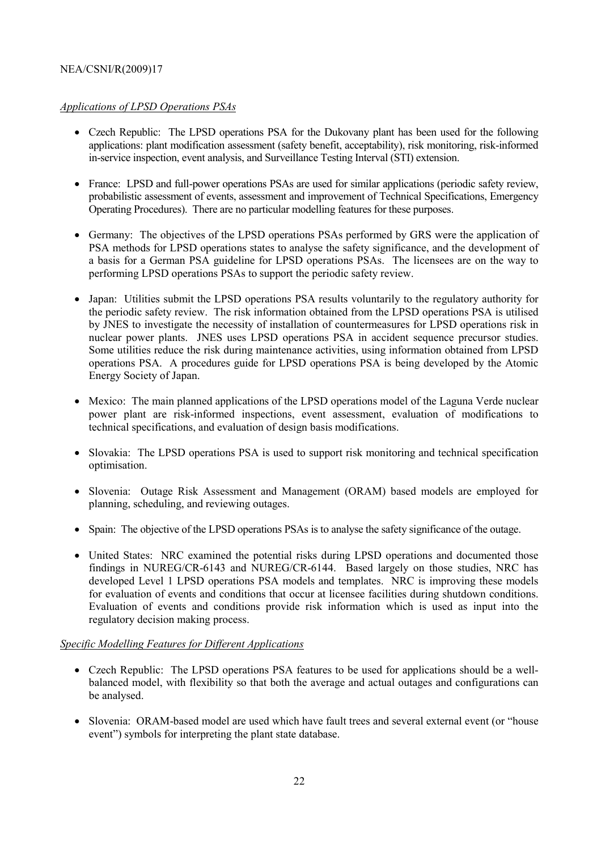### *Applications of LPSD Operations PSAs*

- Czech Republic: The LPSD operations PSA for the Dukovany plant has been used for the following applications: plant modification assessment (safety benefit, acceptability), risk monitoring, risk-informed in-service inspection, event analysis, and Surveillance Testing Interval (STI) extension.
- France: LPSD and full-power operations PSAs are used for similar applications (periodic safety review, probabilistic assessment of events, assessment and improvement of Technical Specifications, Emergency Operating Procedures). There are no particular modelling features for these purposes.
- Germany: The objectives of the LPSD operations PSAs performed by GRS were the application of PSA methods for LPSD operations states to analyse the safety significance, and the development of a basis for a German PSA guideline for LPSD operations PSAs. The licensees are on the way to performing LPSD operations PSAs to support the periodic safety review.
- Japan: Utilities submit the LPSD operations PSA results voluntarily to the regulatory authority for the periodic safety review. The risk information obtained from the LPSD operations PSA is utilised by JNES to investigate the necessity of installation of countermeasures for LPSD operations risk in nuclear power plants. JNES uses LPSD operations PSA in accident sequence precursor studies. Some utilities reduce the risk during maintenance activities, using information obtained from LPSD operations PSA. A procedures guide for LPSD operations PSA is being developed by the Atomic Energy Society of Japan.
- Mexico: The main planned applications of the LPSD operations model of the Laguna Verde nuclear power plant are risk-informed inspections, event assessment, evaluation of modifications to technical specifications, and evaluation of design basis modifications.
- Slovakia: The LPSD operations PSA is used to support risk monitoring and technical specification optimisation.
- Slovenia: Outage Risk Assessment and Management (ORAM) based models are employed for planning, scheduling, and reviewing outages.
- Spain: The objective of the LPSD operations PSAs is to analyse the safety significance of the outage.
- United States: NRC examined the potential risks during LPSD operations and documented those findings in NUREG/CR-6143 and NUREG/CR-6144. Based largely on those studies, NRC has developed Level 1 LPSD operations PSA models and templates. NRC is improving these models for evaluation of events and conditions that occur at licensee facilities during shutdown conditions. Evaluation of events and conditions provide risk information which is used as input into the regulatory decision making process.

### *Specific Modelling Features for Different Applications*

- Czech Republic: The LPSD operations PSA features to be used for applications should be a wellbalanced model, with flexibility so that both the average and actual outages and configurations can be analysed.
- Slovenia: ORAM-based model are used which have fault trees and several external event (or "house event") symbols for interpreting the plant state database.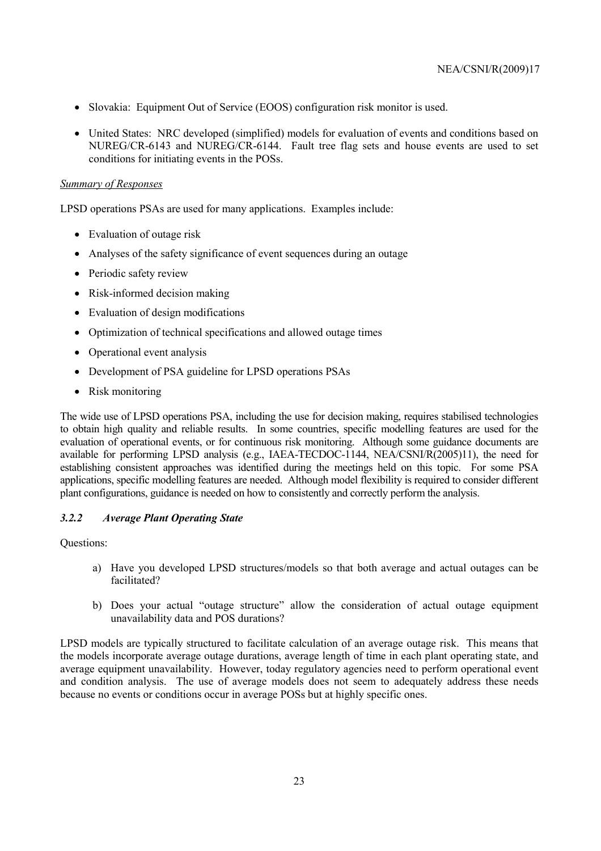- Slovakia: Equipment Out of Service (EOOS) configuration risk monitor is used.
- United States: NRC developed (simplified) models for evaluation of events and conditions based on NUREG/CR-6143 and NUREG/CR-6144. Fault tree flag sets and house events are used to set conditions for initiating events in the POSs.

#### *Summary of Responses*

LPSD operations PSAs are used for many applications. Examples include:

- Evaluation of outage risk
- Analyses of the safety significance of event sequences during an outage
- Periodic safety review
- Risk-informed decision making
- Evaluation of design modifications
- Optimization of technical specifications and allowed outage times
- Operational event analysis
- Development of PSA guideline for LPSD operations PSAs
- Risk monitoring

The wide use of LPSD operations PSA, including the use for decision making, requires stabilised technologies to obtain high quality and reliable results. In some countries, specific modelling features are used for the evaluation of operational events, or for continuous risk monitoring. Although some guidance documents are available for performing LPSD analysis (e.g., IAEA-TECDOC-1144, NEA/CSNI/R(2005)11), the need for establishing consistent approaches was identified during the meetings held on this topic. For some PSA applications, specific modelling features are needed. Although model flexibility is required to consider different plant configurations, guidance is needed on how to consistently and correctly perform the analysis.

### *3.2.2 Average Plant Operating State*

Questions:

- a) Have you developed LPSD structures/models so that both average and actual outages can be facilitated?
- b) Does your actual "outage structure" allow the consideration of actual outage equipment unavailability data and POS durations?

LPSD models are typically structured to facilitate calculation of an average outage risk. This means that the models incorporate average outage durations, average length of time in each plant operating state, and average equipment unavailability. However, today regulatory agencies need to perform operational event and condition analysis. The use of average models does not seem to adequately address these needs because no events or conditions occur in average POSs but at highly specific ones.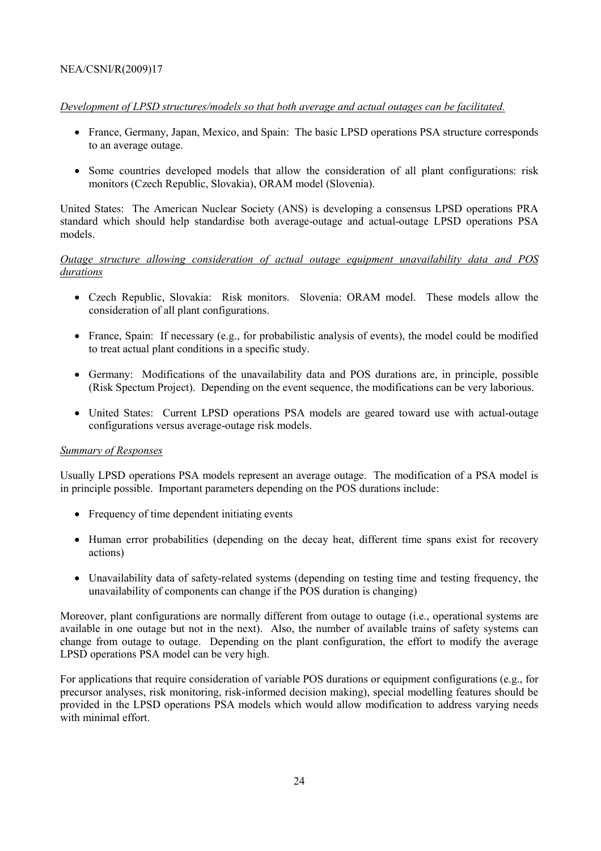### *Development of LPSD structures/models so that both average and actual outages can be facilitated.*

- France, Germany, Japan, Mexico, and Spain: The basic LPSD operations PSA structure corresponds to an average outage.
- Some countries developed models that allow the consideration of all plant configurations: risk monitors (Czech Republic, Slovakia), ORAM model (Slovenia).

United States: The American Nuclear Society (ANS) is developing a consensus LPSD operations PRA standard which should help standardise both average-outage and actual-outage LPSD operations PSA models.

### *Outage structure allowing consideration of actual outage equipment unavailability data and POS durations*

- Czech Republic, Slovakia: Risk monitors. Slovenia: ORAM model. These models allow the consideration of all plant configurations.
- France, Spain: If necessary (e.g., for probabilistic analysis of events), the model could be modified to treat actual plant conditions in a specific study.
- Germany: Modifications of the unavailability data and POS durations are, in principle, possible (Risk Spectum Project). Depending on the event sequence, the modifications can be very laborious.
- United States: Current LPSD operations PSA models are geared toward use with actual-outage configurations versus average-outage risk models.

#### *Summary of Responses*

Usually LPSD operations PSA models represent an average outage. The modification of a PSA model is in principle possible. Important parameters depending on the POS durations include:

- Frequency of time dependent initiating events
- Human error probabilities (depending on the decay heat, different time spans exist for recovery actions)
- Unavailability data of safety-related systems (depending on testing time and testing frequency, the unavailability of components can change if the POS duration is changing)

Moreover, plant configurations are normally different from outage to outage (i.e., operational systems are available in one outage but not in the next). Also, the number of available trains of safety systems can change from outage to outage. Depending on the plant configuration, the effort to modify the average LPSD operations PSA model can be very high.

For applications that require consideration of variable POS durations or equipment configurations (e.g., for precursor analyses, risk monitoring, risk-informed decision making), special modelling features should be provided in the LPSD operations PSA models which would allow modification to address varying needs with minimal effort.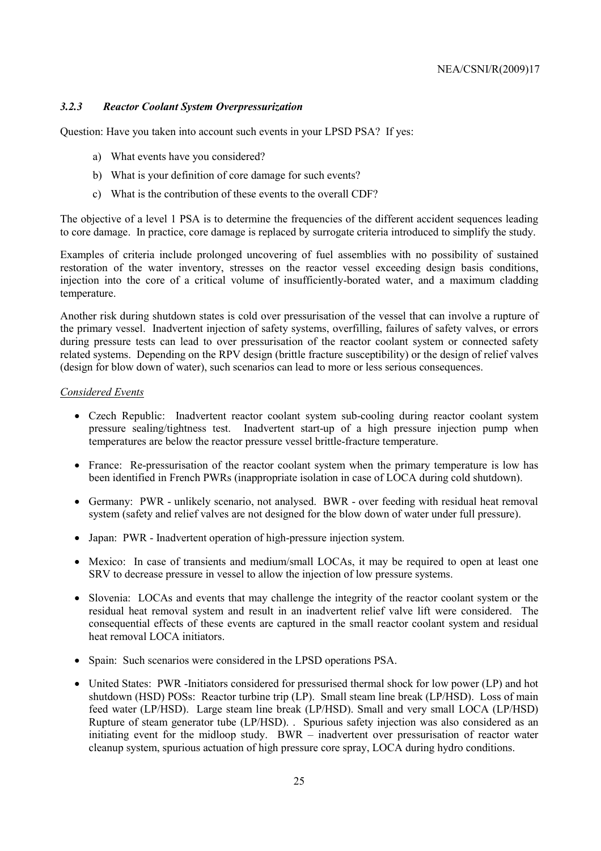### *3.2.3 Reactor Coolant System Overpressurization*

Question: Have you taken into account such events in your LPSD PSA? If yes:

- a) What events have you considered?
- b) What is your definition of core damage for such events?
- c) What is the contribution of these events to the overall CDF?

The objective of a level 1 PSA is to determine the frequencies of the different accident sequences leading to core damage. In practice, core damage is replaced by surrogate criteria introduced to simplify the study.

Examples of criteria include prolonged uncovering of fuel assemblies with no possibility of sustained restoration of the water inventory, stresses on the reactor vessel exceeding design basis conditions, injection into the core of a critical volume of insufficiently-borated water, and a maximum cladding temperature.

Another risk during shutdown states is cold over pressurisation of the vessel that can involve a rupture of the primary vessel. Inadvertent injection of safety systems, overfilling, failures of safety valves, or errors during pressure tests can lead to over pressurisation of the reactor coolant system or connected safety related systems. Depending on the RPV design (brittle fracture susceptibility) or the design of relief valves (design for blow down of water), such scenarios can lead to more or less serious consequences.

#### *Considered Events*

- Czech Republic: Inadvertent reactor coolant system sub-cooling during reactor coolant system pressure sealing/tightness test. Inadvertent start-up of a high pressure injection pump when temperatures are below the reactor pressure vessel brittle-fracture temperature.
- France: Re-pressurisation of the reactor coolant system when the primary temperature is low has been identified in French PWRs (inappropriate isolation in case of LOCA during cold shutdown).
- Germany: PWR unlikely scenario, not analysed. BWR over feeding with residual heat removal system (safety and relief valves are not designed for the blow down of water under full pressure).
- Japan: PWR Inadvertent operation of high-pressure injection system.
- Mexico: In case of transients and medium/small LOCAs, it may be required to open at least one SRV to decrease pressure in vessel to allow the injection of low pressure systems.
- Slovenia: LOCAs and events that may challenge the integrity of the reactor coolant system or the residual heat removal system and result in an inadvertent relief valve lift were considered. The consequential effects of these events are captured in the small reactor coolant system and residual heat removal LOCA initiators.
- Spain: Such scenarios were considered in the LPSD operations PSA.
- United States: PWR -Initiators considered for pressurised thermal shock for low power (LP) and hot shutdown (HSD) POSs: Reactor turbine trip (LP). Small steam line break (LP/HSD). Loss of main feed water (LP/HSD). Large steam line break (LP/HSD). Small and very small LOCA (LP/HSD) Rupture of steam generator tube (LP/HSD). . Spurious safety injection was also considered as an initiating event for the midloop study. BWR – inadvertent over pressurisation of reactor water cleanup system, spurious actuation of high pressure core spray, LOCA during hydro conditions.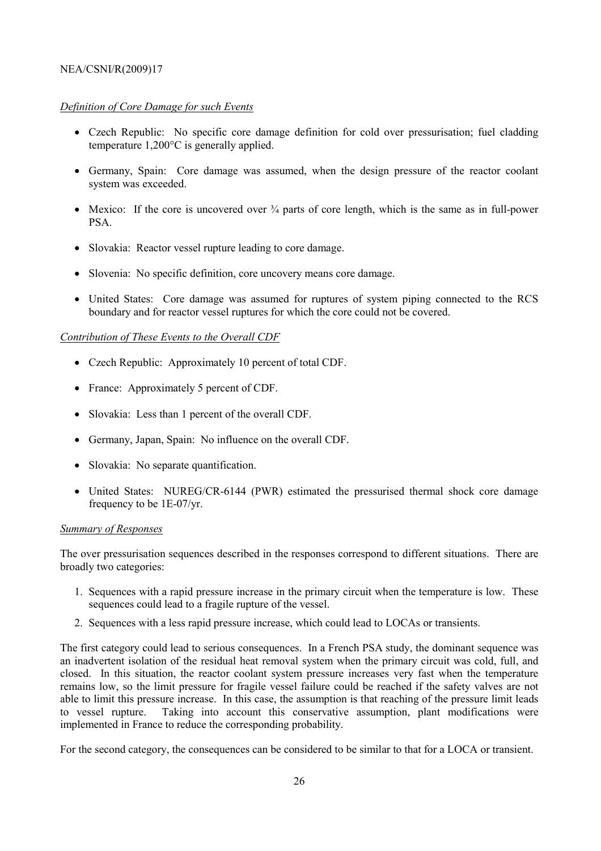### *Definition of Core Damage for such Events*

- Czech Republic: No specific core damage definition for cold over pressurisation; fuel cladding temperature 1,200°C is generally applied.
- Germany, Spain: Core damage was assumed, when the design pressure of the reactor coolant system was exceeded.
- Mexico: If the core is uncovered over  $\frac{3}{4}$  parts of core length, which is the same as in full-power **PSA**.
- Slovakia: Reactor vessel rupture leading to core damage.
- Slovenia: No specific definition, core uncovery means core damage.
- United States: Core damage was assumed for ruptures of system piping connected to the RCS boundary and for reactor vessel ruptures for which the core could not be covered.

### *Contribution of These Events to the Overall CDF*

- Czech Republic: Approximately 10 percent of total CDF.
- France: Approximately 5 percent of CDF.
- Slovakia: Less than 1 percent of the overall CDF.
- Germany, Japan, Spain: No influence on the overall CDF.
- Slovakia: No separate quantification.
- United States: NUREG/CR-6144 (PWR) estimated the pressurised thermal shock core damage frequency to be 1E-07/yr.

### *Summary of Responses*

The over pressurisation sequences described in the responses correspond to different situations. There are broadly two categories:

- 1. Sequences with a rapid pressure increase in the primary circuit when the temperature is low. These sequences could lead to a fragile rupture of the vessel.
- 2. Sequences with a less rapid pressure increase, which could lead to LOCAs or transients.

The first category could lead to serious consequences. In a French PSA study, the dominant sequence was an inadvertent isolation of the residual heat removal system when the primary circuit was cold, full, and closed. In this situation, the reactor coolant system pressure increases very fast when the temperature remains low, so the limit pressure for fragile vessel failure could be reached if the safety valves are not able to limit this pressure increase. In this case, the assumption is that reaching of the pressure limit leads to vessel rupture. Taking into account this conservative assumption, plant modifications were implemented in France to reduce the corresponding probability.

For the second category, the consequences can be considered to be similar to that for a LOCA or transient.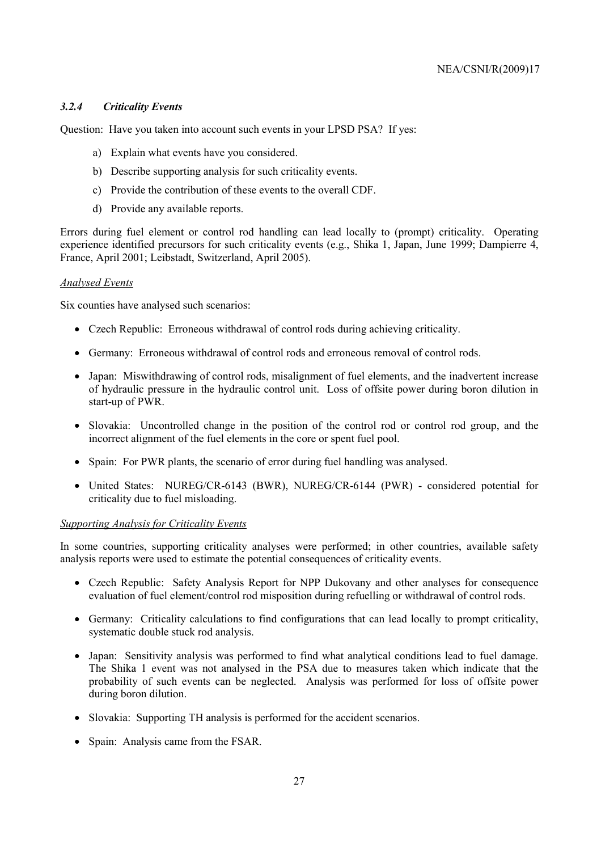### *3.2.4 Criticality Events*

Question: Have you taken into account such events in your LPSD PSA? If yes:

- a) Explain what events have you considered.
- b) Describe supporting analysis for such criticality events.
- c) Provide the contribution of these events to the overall CDF.
- d) Provide any available reports.

Errors during fuel element or control rod handling can lead locally to (prompt) criticality. Operating experience identified precursors for such criticality events (e.g., Shika 1, Japan, June 1999; Dampierre 4, France, April 2001; Leibstadt, Switzerland, April 2005).

#### *Analysed Events*

Six counties have analysed such scenarios:

- Czech Republic: Erroneous withdrawal of control rods during achieving criticality.
- Germany: Erroneous withdrawal of control rods and erroneous removal of control rods.
- Japan: Miswithdrawing of control rods, misalignment of fuel elements, and the inadvertent increase of hydraulic pressure in the hydraulic control unit. Loss of offsite power during boron dilution in start-up of PWR.
- Slovakia: Uncontrolled change in the position of the control rod or control rod group, and the incorrect alignment of the fuel elements in the core or spent fuel pool.
- Spain: For PWR plants, the scenario of error during fuel handling was analysed.
- United States: NUREG/CR-6143 (BWR), NUREG/CR-6144 (PWR) considered potential for criticality due to fuel misloading.

### *Supporting Analysis for Criticality Events*

In some countries, supporting criticality analyses were performed; in other countries, available safety analysis reports were used to estimate the potential consequences of criticality events.

- Czech Republic: Safety Analysis Report for NPP Dukovany and other analyses for consequence evaluation of fuel element/control rod misposition during refuelling or withdrawal of control rods.
- Germany: Criticality calculations to find configurations that can lead locally to prompt criticality, systematic double stuck rod analysis.
- Japan: Sensitivity analysis was performed to find what analytical conditions lead to fuel damage. The Shika 1 event was not analysed in the PSA due to measures taken which indicate that the probability of such events can be neglected. Analysis was performed for loss of offsite power during boron dilution.
- Slovakia: Supporting TH analysis is performed for the accident scenarios.
- Spain: Analysis came from the FSAR.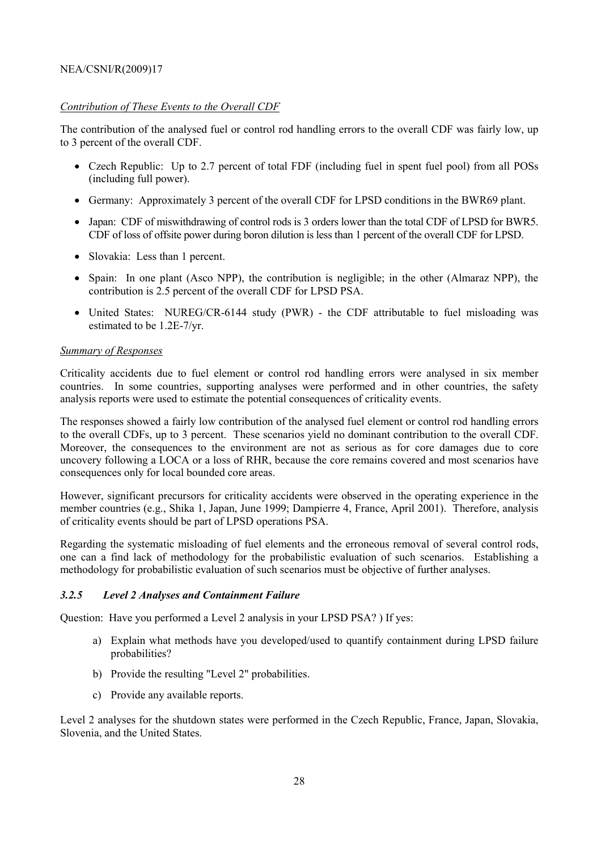### *Contribution of These Events to the Overall CDF*

The contribution of the analysed fuel or control rod handling errors to the overall CDF was fairly low, up to 3 percent of the overall CDF.

- Czech Republic: Up to 2.7 percent of total FDF (including fuel in spent fuel pool) from all POSs (including full power).
- Germany: Approximately 3 percent of the overall CDF for LPSD conditions in the BWR69 plant.
- Japan: CDF of miswithdrawing of control rods is 3 orders lower than the total CDF of LPSD for BWR5. CDF of loss of offsite power during boron dilution is less than 1 percent of the overall CDF for LPSD.
- Slovakia: Less than 1 percent.
- Spain: In one plant (Asco NPP), the contribution is negligible; in the other (Almaraz NPP), the contribution is 2.5 percent of the overall CDF for LPSD PSA.
- United States: NUREG/CR-6144 study (PWR) the CDF attributable to fuel misloading was estimated to be 1.2E-7/yr.

#### *Summary of Responses*

Criticality accidents due to fuel element or control rod handling errors were analysed in six member countries. In some countries, supporting analyses were performed and in other countries, the safety analysis reports were used to estimate the potential consequences of criticality events.

The responses showed a fairly low contribution of the analysed fuel element or control rod handling errors to the overall CDFs, up to 3 percent. These scenarios yield no dominant contribution to the overall CDF. Moreover, the consequences to the environment are not as serious as for core damages due to core uncovery following a LOCA or a loss of RHR, because the core remains covered and most scenarios have consequences only for local bounded core areas.

However, significant precursors for criticality accidents were observed in the operating experience in the member countries (e.g., Shika 1, Japan, June 1999; Dampierre 4, France, April 2001). Therefore, analysis of criticality events should be part of LPSD operations PSA.

Regarding the systematic misloading of fuel elements and the erroneous removal of several control rods, one can a find lack of methodology for the probabilistic evaluation of such scenarios. Establishing a methodology for probabilistic evaluation of such scenarios must be objective of further analyses.

### *3.2.5 Level 2 Analyses and Containment Failure*

Question: Have you performed a Level 2 analysis in your LPSD PSA? ) If yes:

- a) Explain what methods have you developed/used to quantify containment during LPSD failure probabilities?
- b) Provide the resulting "Level 2" probabilities.
- c) Provide any available reports.

Level 2 analyses for the shutdown states were performed in the Czech Republic, France, Japan, Slovakia, Slovenia, and the United States.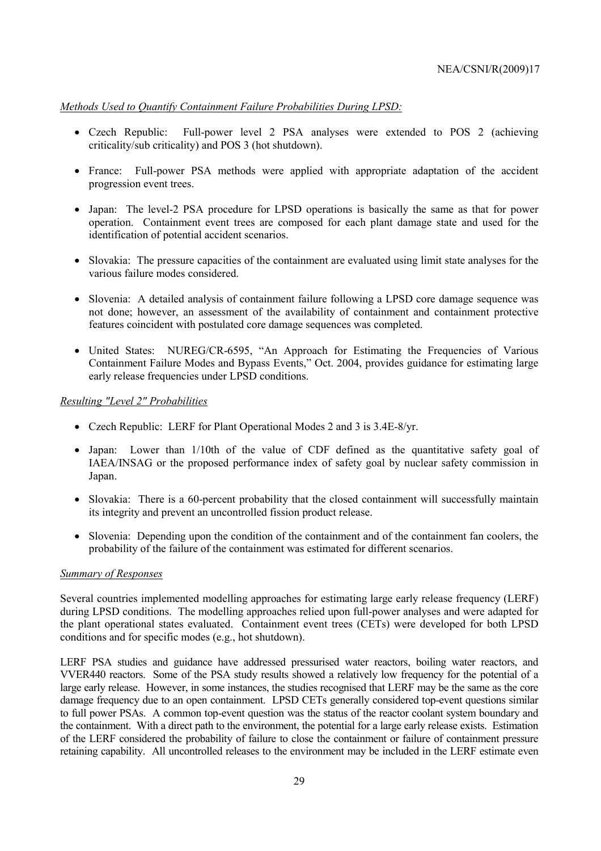*Methods Used to Quantify Containment Failure Probabilities During LPSD:*

- Czech Republic: Full-power level 2 PSA analyses were extended to POS 2 (achieving criticality/sub criticality) and POS 3 (hot shutdown).
- France: Full-power PSA methods were applied with appropriate adaptation of the accident progression event trees.
- Japan: The level-2 PSA procedure for LPSD operations is basically the same as that for power operation. Containment event trees are composed for each plant damage state and used for the identification of potential accident scenarios.
- Slovakia: The pressure capacities of the containment are evaluated using limit state analyses for the various failure modes considered.
- Slovenia: A detailed analysis of containment failure following a LPSD core damage sequence was not done; however, an assessment of the availability of containment and containment protective features coincident with postulated core damage sequences was completed.
- United States: NUREG/CR-6595, "An Approach for Estimating the Frequencies of Various Containment Failure Modes and Bypass Events," Oct. 2004, provides guidance for estimating large early release frequencies under LPSD conditions.

#### *Resulting "Level 2" Probabilities*

- Czech Republic: LERF for Plant Operational Modes 2 and 3 is 3.4E-8/yr.
- Japan: Lower than 1/10th of the value of CDF defined as the quantitative safety goal of IAEA/INSAG or the proposed performance index of safety goal by nuclear safety commission in Japan.
- Slovakia: There is a 60-percent probability that the closed containment will successfully maintain its integrity and prevent an uncontrolled fission product release.
- Slovenia: Depending upon the condition of the containment and of the containment fan coolers, the probability of the failure of the containment was estimated for different scenarios.

### *Summary of Responses*

Several countries implemented modelling approaches for estimating large early release frequency (LERF) during LPSD conditions. The modelling approaches relied upon full-power analyses and were adapted for the plant operational states evaluated. Containment event trees (CETs) were developed for both LPSD conditions and for specific modes (e.g., hot shutdown).

LERF PSA studies and guidance have addressed pressurised water reactors, boiling water reactors, and VVER440 reactors. Some of the PSA study results showed a relatively low frequency for the potential of a large early release. However, in some instances, the studies recognised that LERF may be the same as the core damage frequency due to an open containment. LPSD CETs generally considered top-event questions similar to full power PSAs. A common top-event question was the status of the reactor coolant system boundary and the containment. With a direct path to the environment, the potential for a large early release exists. Estimation of the LERF considered the probability of failure to close the containment or failure of containment pressure retaining capability. All uncontrolled releases to the environment may be included in the LERF estimate even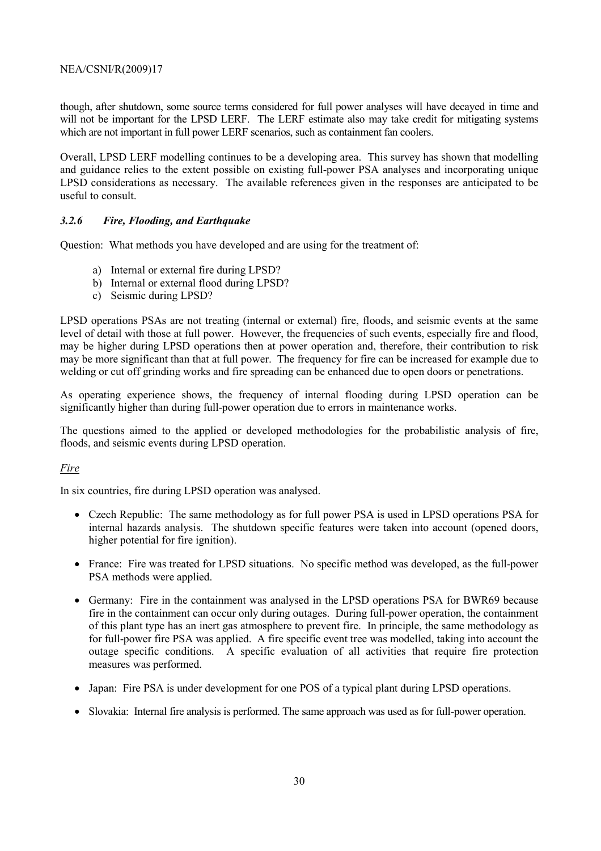though, after shutdown, some source terms considered for full power analyses will have decayed in time and will not be important for the LPSD LERF. The LERF estimate also may take credit for mitigating systems which are not important in full power LERF scenarios, such as containment fan coolers.

Overall, LPSD LERF modelling continues to be a developing area. This survey has shown that modelling and guidance relies to the extent possible on existing full-power PSA analyses and incorporating unique LPSD considerations as necessary. The available references given in the responses are anticipated to be useful to consult.

### *3.2.6 Fire, Flooding, and Earthquake*

Question: What methods you have developed and are using for the treatment of:

- a) Internal or external fire during LPSD?
- b) Internal or external flood during LPSD?
- c) Seismic during LPSD?

LPSD operations PSAs are not treating (internal or external) fire, floods, and seismic events at the same level of detail with those at full power. However, the frequencies of such events, especially fire and flood, may be higher during LPSD operations then at power operation and, therefore, their contribution to risk may be more significant than that at full power. The frequency for fire can be increased for example due to welding or cut off grinding works and fire spreading can be enhanced due to open doors or penetrations.

As operating experience shows, the frequency of internal flooding during LPSD operation can be significantly higher than during full-power operation due to errors in maintenance works.

The questions aimed to the applied or developed methodologies for the probabilistic analysis of fire, floods, and seismic events during LPSD operation.

### *Fire*

In six countries, fire during LPSD operation was analysed.

- Czech Republic: The same methodology as for full power PSA is used in LPSD operations PSA for internal hazards analysis. The shutdown specific features were taken into account (opened doors, higher potential for fire ignition).
- France: Fire was treated for LPSD situations. No specific method was developed, as the full-power PSA methods were applied.
- Germany: Fire in the containment was analysed in the LPSD operations PSA for BWR69 because fire in the containment can occur only during outages. During full-power operation, the containment of this plant type has an inert gas atmosphere to prevent fire. In principle, the same methodology as for full-power fire PSA was applied. A fire specific event tree was modelled, taking into account the outage specific conditions. A specific evaluation of all activities that require fire protection measures was performed.
- Japan: Fire PSA is under development for one POS of a typical plant during LPSD operations.
- Slovakia: Internal fire analysis is performed. The same approach was used as for full-power operation.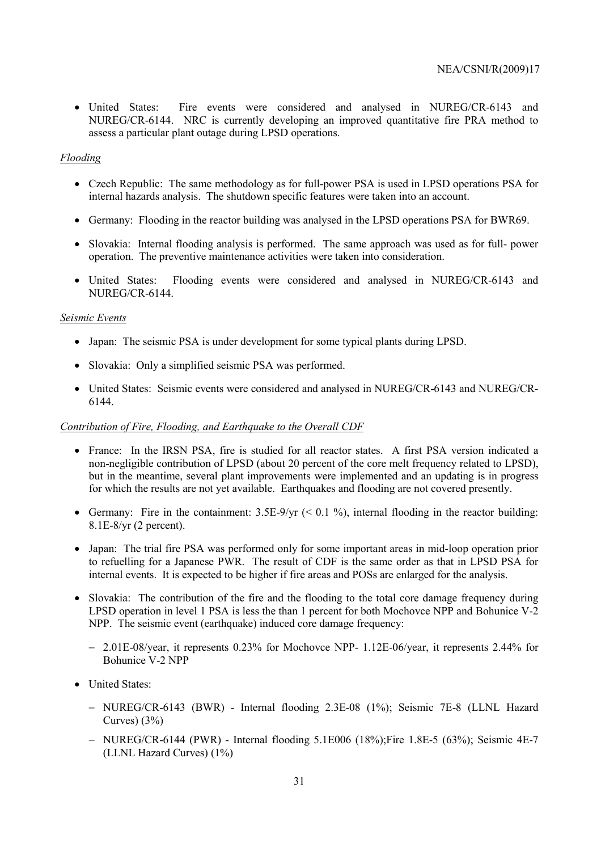• United States: Fire events were considered and analysed in NUREG/CR-6143 and NUREG/CR-6144. NRC is currently developing an improved quantitative fire PRA method to assess a particular plant outage during LPSD operations.

### *Flooding*

- Czech Republic: The same methodology as for full-power PSA is used in LPSD operations PSA for internal hazards analysis. The shutdown specific features were taken into an account.
- Germany: Flooding in the reactor building was analysed in the LPSD operations PSA for BWR69.
- Slovakia: Internal flooding analysis is performed. The same approach was used as for full- power operation. The preventive maintenance activities were taken into consideration.
- United States: Flooding events were considered and analysed in NUREG/CR-6143 and NUREG/CR-6144.

#### *Seismic Events*

- Japan: The seismic PSA is under development for some typical plants during LPSD.
- Slovakia: Only a simplified seismic PSA was performed.
- United States: Seismic events were considered and analysed in NUREG/CR-6143 and NUREG/CR-6144.

#### *Contribution of Fire, Flooding, and Earthquake to the Overall CDF*

- France: In the IRSN PSA, fire is studied for all reactor states. A first PSA version indicated a non-negligible contribution of LPSD (about 20 percent of the core melt frequency related to LPSD), but in the meantime, several plant improvements were implemented and an updating is in progress for which the results are not yet available. Earthquakes and flooding are not covered presently.
- Germany: Fire in the containment:  $3.5E-9/yr$  (< 0.1 %), internal flooding in the reactor building: 8.1E-8/yr (2 percent).
- Japan: The trial fire PSA was performed only for some important areas in mid-loop operation prior to refuelling for a Japanese PWR. The result of CDF is the same order as that in LPSD PSA for internal events. It is expected to be higher if fire areas and POSs are enlarged for the analysis.
- Slovakia: The contribution of the fire and the flooding to the total core damage frequency during LPSD operation in level 1 PSA is less the than 1 percent for both Mochovce NPP and Bohunice V-2 NPP. The seismic event (earthquake) induced core damage frequency:
	- − 2.01E-08/year, it represents 0.23% for Mochovce NPP- 1.12E-06/year, it represents 2.44% for Bohunice V-2 NPP
- United States:
	- − NUREG/CR-6143 (BWR) Internal flooding 2.3E-08 (1%); Seismic 7E-8 (LLNL Hazard Curves)  $(3%)$
	- − NUREG/CR-6144 (PWR) Internal flooding 5.1E006 (18%);Fire 1.8E-5 (63%); Seismic 4E-7 (LLNL Hazard Curves) (1%)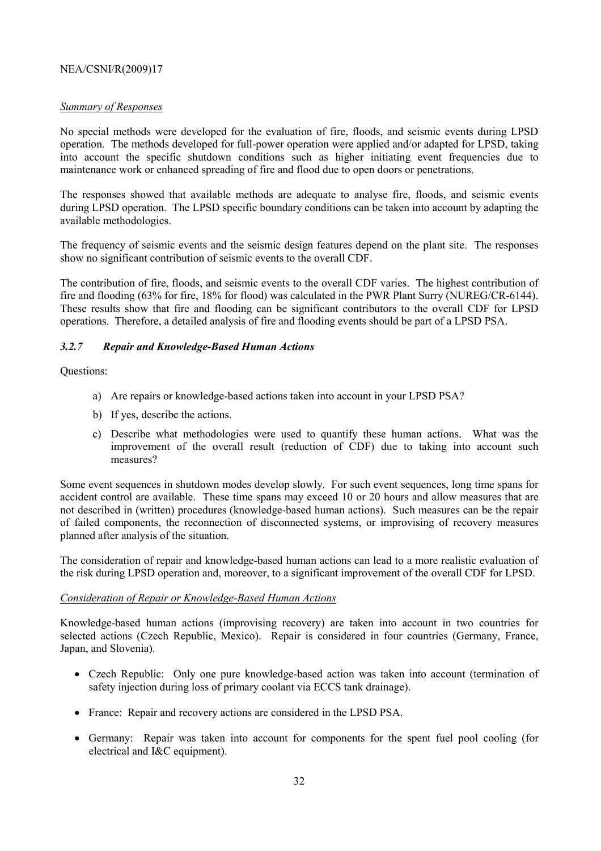### *Summary of Responses*

No special methods were developed for the evaluation of fire, floods, and seismic events during LPSD operation. The methods developed for full-power operation were applied and/or adapted for LPSD, taking into account the specific shutdown conditions such as higher initiating event frequencies due to maintenance work or enhanced spreading of fire and flood due to open doors or penetrations.

The responses showed that available methods are adequate to analyse fire, floods, and seismic events during LPSD operation. The LPSD specific boundary conditions can be taken into account by adapting the available methodologies.

The frequency of seismic events and the seismic design features depend on the plant site. The responses show no significant contribution of seismic events to the overall CDF.

The contribution of fire, floods, and seismic events to the overall CDF varies. The highest contribution of fire and flooding (63% for fire, 18% for flood) was calculated in the PWR Plant Surry (NUREG/CR-6144). These results show that fire and flooding can be significant contributors to the overall CDF for LPSD operations. Therefore, a detailed analysis of fire and flooding events should be part of a LPSD PSA.

### *3.2.7 Repair and Knowledge-Based Human Actions*

Questions:

- a) Are repairs or knowledge-based actions taken into account in your LPSD PSA?
- b) If yes, describe the actions.
- c) Describe what methodologies were used to quantify these human actions. What was the improvement of the overall result (reduction of CDF) due to taking into account such measures?

Some event sequences in shutdown modes develop slowly. For such event sequences, long time spans for accident control are available. These time spans may exceed 10 or 20 hours and allow measures that are not described in (written) procedures (knowledge-based human actions). Such measures can be the repair of failed components, the reconnection of disconnected systems, or improvising of recovery measures planned after analysis of the situation.

The consideration of repair and knowledge-based human actions can lead to a more realistic evaluation of the risk during LPSD operation and, moreover, to a significant improvement of the overall CDF for LPSD.

### *Consideration of Repair or Knowledge-Based Human Actions*

Knowledge-based human actions (improvising recovery) are taken into account in two countries for selected actions (Czech Republic, Mexico). Repair is considered in four countries (Germany, France, Japan, and Slovenia).

- Czech Republic: Only one pure knowledge-based action was taken into account (termination of safety injection during loss of primary coolant via ECCS tank drainage).
- France: Repair and recovery actions are considered in the LPSD PSA.
- Germany: Repair was taken into account for components for the spent fuel pool cooling (for electrical and I&C equipment).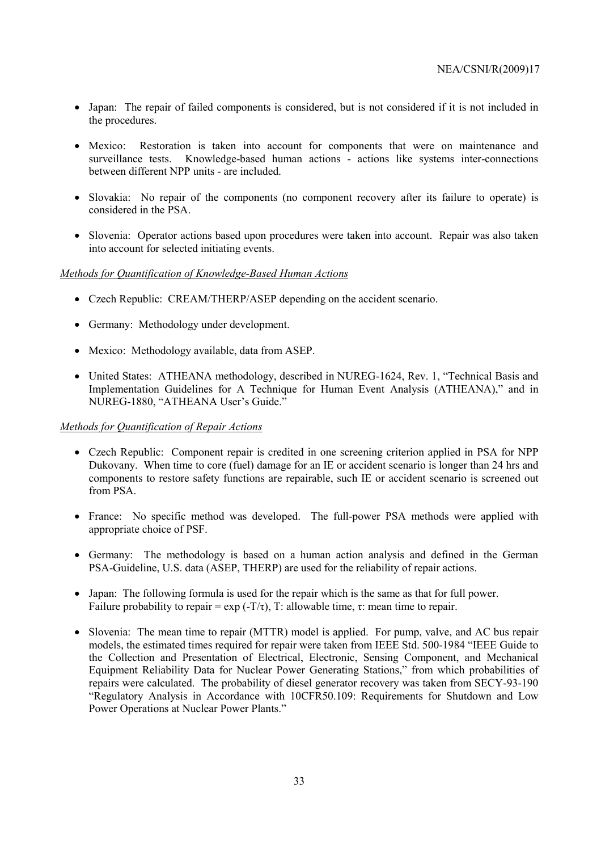- Japan: The repair of failed components is considered, but is not considered if it is not included in the procedures.
- Mexico: Restoration is taken into account for components that were on maintenance and surveillance tests. Knowledge-based human actions - actions like systems inter-connections between different NPP units - are included.
- Slovakia: No repair of the components (no component recovery after its failure to operate) is considered in the PSA.
- Slovenia: Operator actions based upon procedures were taken into account. Repair was also taken into account for selected initiating events.

### *Methods for Quantification of Knowledge-Based Human Actions*

- Czech Republic: CREAM/THERP/ASEP depending on the accident scenario.
- Germany: Methodology under development.
- Mexico: Methodology available, data from ASEP.
- United States: ATHEANA methodology, described in NUREG-1624, Rev. 1, "Technical Basis and Implementation Guidelines for A Technique for Human Event Analysis (ATHEANA)," and in NUREG-1880, "ATHEANA User's Guide."

#### *Methods for Quantification of Repair Actions*

- Czech Republic: Component repair is credited in one screening criterion applied in PSA for NPP Dukovany. When time to core (fuel) damage for an IE or accident scenario is longer than 24 hrs and components to restore safety functions are repairable, such IE or accident scenario is screened out from PSA.
- France: No specific method was developed. The full-power PSA methods were applied with appropriate choice of PSF.
- Germany: The methodology is based on a human action analysis and defined in the German PSA-Guideline, U.S. data (ASEP, THERP) are used for the reliability of repair actions.
- Japan: The following formula is used for the repair which is the same as that for full power. Failure probability to repair = exp  $(-T/\tau)$ , T: allowable time,  $\tau$ : mean time to repair.
- Slovenia: The mean time to repair (MTTR) model is applied. For pump, valve, and AC bus repair models, the estimated times required for repair were taken from IEEE Std. 500-1984 "IEEE Guide to the Collection and Presentation of Electrical, Electronic, Sensing Component, and Mechanical Equipment Reliability Data for Nuclear Power Generating Stations," from which probabilities of repairs were calculated. The probability of diesel generator recovery was taken from SECY-93-190 "Regulatory Analysis in Accordance with 10CFR50.109: Requirements for Shutdown and Low Power Operations at Nuclear Power Plants."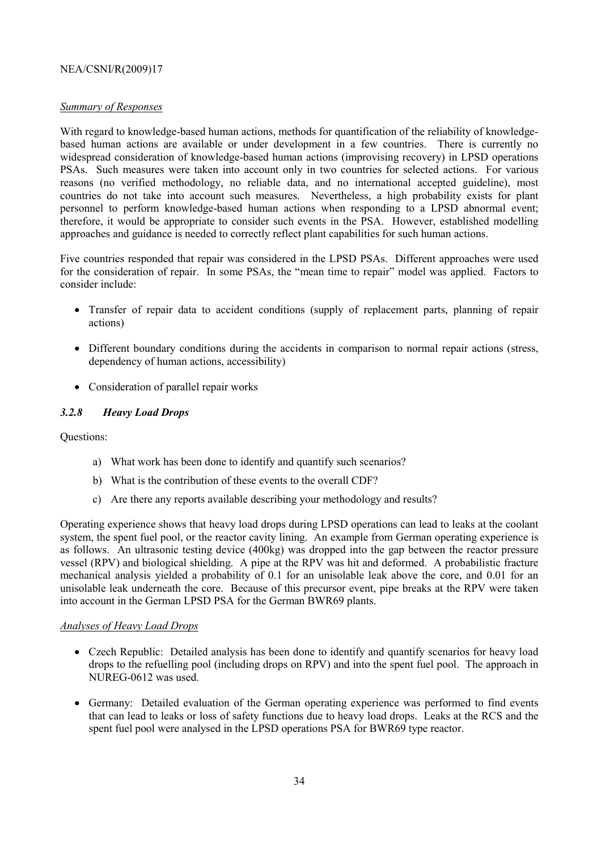### *Summary of Responses*

With regard to knowledge-based human actions, methods for quantification of the reliability of knowledgebased human actions are available or under development in a few countries. There is currently no widespread consideration of knowledge-based human actions (improvising recovery) in LPSD operations PSAs. Such measures were taken into account only in two countries for selected actions. For various reasons (no verified methodology, no reliable data, and no international accepted guideline), most countries do not take into account such measures. Nevertheless, a high probability exists for plant personnel to perform knowledge-based human actions when responding to a LPSD abnormal event; therefore, it would be appropriate to consider such events in the PSA. However, established modelling approaches and guidance is needed to correctly reflect plant capabilities for such human actions.

Five countries responded that repair was considered in the LPSD PSAs. Different approaches were used for the consideration of repair. In some PSAs, the "mean time to repair" model was applied. Factors to consider include:

- Transfer of repair data to accident conditions (supply of replacement parts, planning of repair actions)
- Different boundary conditions during the accidents in comparison to normal repair actions (stress, dependency of human actions, accessibility)
- Consideration of parallel repair works

### *3.2.8 Heavy Load Drops*

### Questions:

- a) What work has been done to identify and quantify such scenarios?
- b) What is the contribution of these events to the overall CDF?
- c) Are there any reports available describing your methodology and results?

Operating experience shows that heavy load drops during LPSD operations can lead to leaks at the coolant system, the spent fuel pool, or the reactor cavity lining. An example from German operating experience is as follows. An ultrasonic testing device (400kg) was dropped into the gap between the reactor pressure vessel (RPV) and biological shielding. A pipe at the RPV was hit and deformed. A probabilistic fracture mechanical analysis yielded a probability of 0.1 for an unisolable leak above the core, and 0.01 for an unisolable leak underneath the core. Because of this precursor event, pipe breaks at the RPV were taken into account in the German LPSD PSA for the German BWR69 plants.

### *Analyses of Heavy Load Drops*

- Czech Republic: Detailed analysis has been done to identify and quantify scenarios for heavy load drops to the refuelling pool (including drops on RPV) and into the spent fuel pool. The approach in NUREG-0612 was used.
- Germany: Detailed evaluation of the German operating experience was performed to find events that can lead to leaks or loss of safety functions due to heavy load drops. Leaks at the RCS and the spent fuel pool were analysed in the LPSD operations PSA for BWR69 type reactor.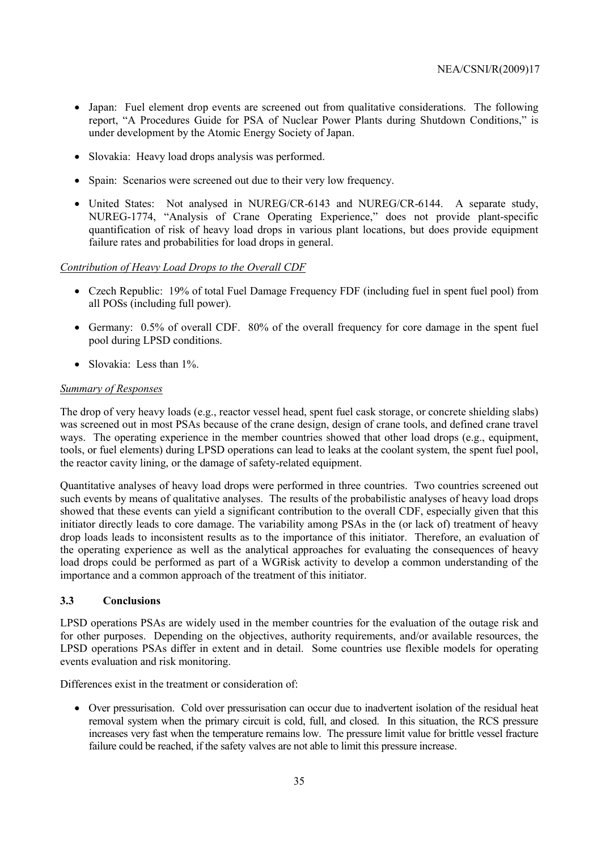- Japan: Fuel element drop events are screened out from qualitative considerations. The following report, "A Procedures Guide for PSA of Nuclear Power Plants during Shutdown Conditions," is under development by the Atomic Energy Society of Japan.
- Slovakia: Heavy load drops analysis was performed.
- Spain: Scenarios were screened out due to their very low frequency.
- United States: Not analysed in NUREG/CR-6143 and NUREG/CR-6144. A separate study, NUREG-1774, "Analysis of Crane Operating Experience," does not provide plant-specific quantification of risk of heavy load drops in various plant locations, but does provide equipment failure rates and probabilities for load drops in general.

### *Contribution of Heavy Load Drops to the Overall CDF*

- Czech Republic: 19% of total Fuel Damage Frequency FDF (including fuel in spent fuel pool) from all POSs (including full power).
- Germany: 0.5% of overall CDF. 80% of the overall frequency for core damage in the spent fuel pool during LPSD conditions.
- Slovakia: Less than 1%

### *Summary of Responses*

The drop of very heavy loads (e.g., reactor vessel head, spent fuel cask storage, or concrete shielding slabs) was screened out in most PSAs because of the crane design, design of crane tools, and defined crane travel ways. The operating experience in the member countries showed that other load drops (e.g., equipment, tools, or fuel elements) during LPSD operations can lead to leaks at the coolant system, the spent fuel pool, the reactor cavity lining, or the damage of safety-related equipment.

Quantitative analyses of heavy load drops were performed in three countries. Two countries screened out such events by means of qualitative analyses. The results of the probabilistic analyses of heavy load drops showed that these events can yield a significant contribution to the overall CDF, especially given that this initiator directly leads to core damage. The variability among PSAs in the (or lack of) treatment of heavy drop loads leads to inconsistent results as to the importance of this initiator. Therefore, an evaluation of the operating experience as well as the analytical approaches for evaluating the consequences of heavy load drops could be performed as part of a WGRisk activity to develop a common understanding of the importance and a common approach of the treatment of this initiator.

### **3.3 Conclusions**

LPSD operations PSAs are widely used in the member countries for the evaluation of the outage risk and for other purposes. Depending on the objectives, authority requirements, and/or available resources, the LPSD operations PSAs differ in extent and in detail. Some countries use flexible models for operating events evaluation and risk monitoring.

Differences exist in the treatment or consideration of

• Over pressurisation. Cold over pressurisation can occur due to inadvertent isolation of the residual heat removal system when the primary circuit is cold, full, and closed. In this situation, the RCS pressure increases very fast when the temperature remains low. The pressure limit value for brittle vessel fracture failure could be reached, if the safety valves are not able to limit this pressure increase.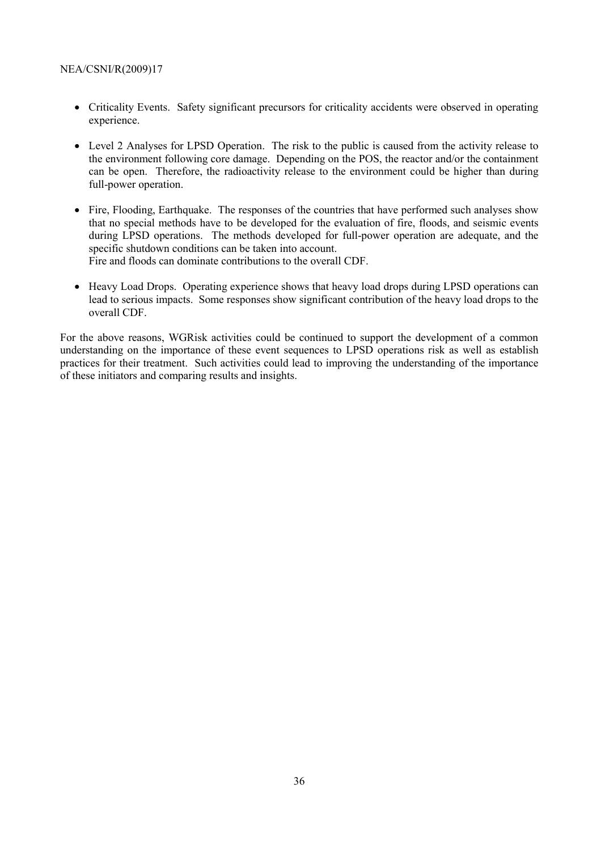- Criticality Events. Safety significant precursors for criticality accidents were observed in operating experience.
- Level 2 Analyses for LPSD Operation. The risk to the public is caused from the activity release to the environment following core damage. Depending on the POS, the reactor and/or the containment can be open. Therefore, the radioactivity release to the environment could be higher than during full-power operation.
- Fire, Flooding, Earthquake. The responses of the countries that have performed such analyses show that no special methods have to be developed for the evaluation of fire, floods, and seismic events during LPSD operations. The methods developed for full-power operation are adequate, and the specific shutdown conditions can be taken into account. Fire and floods can dominate contributions to the overall CDF.
- Heavy Load Drops. Operating experience shows that heavy load drops during LPSD operations can lead to serious impacts. Some responses show significant contribution of the heavy load drops to the overall CDF.

For the above reasons, WGRisk activities could be continued to support the development of a common understanding on the importance of these event sequences to LPSD operations risk as well as establish practices for their treatment. Such activities could lead to improving the understanding of the importance of these initiators and comparing results and insights.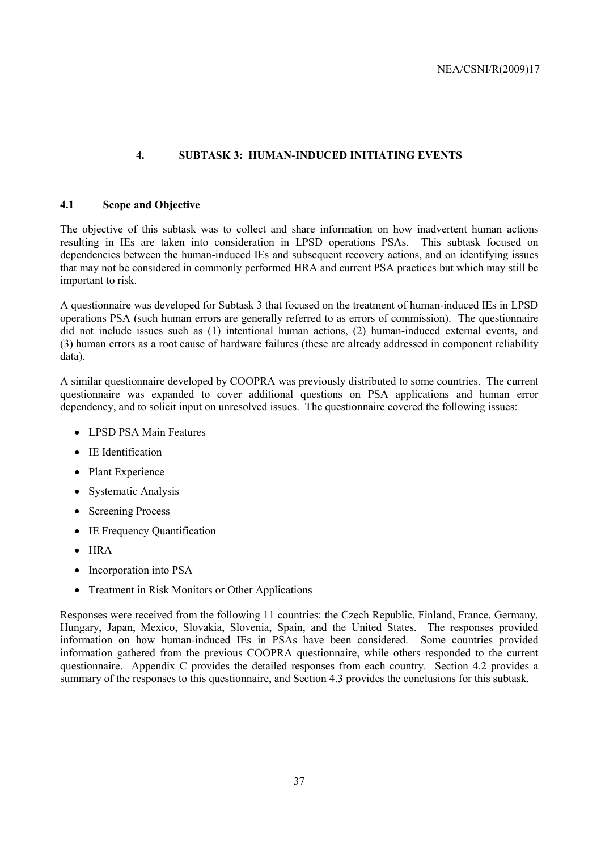### **4. SUBTASK 3: HUMAN-INDUCED INITIATING EVENTS**

### **4.1 Scope and Objective**

The objective of this subtask was to collect and share information on how inadvertent human actions resulting in IEs are taken into consideration in LPSD operations PSAs. This subtask focused on dependencies between the human-induced IEs and subsequent recovery actions, and on identifying issues that may not be considered in commonly performed HRA and current PSA practices but which may still be important to risk.

A questionnaire was developed for Subtask 3 that focused on the treatment of human-induced IEs in LPSD operations PSA (such human errors are generally referred to as errors of commission). The questionnaire did not include issues such as (1) intentional human actions, (2) human-induced external events, and (3) human errors as a root cause of hardware failures (these are already addressed in component reliability data).

A similar questionnaire developed by COOPRA was previously distributed to some countries. The current questionnaire was expanded to cover additional questions on PSA applications and human error dependency, and to solicit input on unresolved issues. The questionnaire covered the following issues:

- LPSD PSA Main Features
- IE Identification
- Plant Experience
- Systematic Analysis
- Screening Process
- IE Frequency Quantification
- HRA
- Incorporation into PSA
- Treatment in Risk Monitors or Other Applications

Responses were received from the following 11 countries: the Czech Republic, Finland, France, Germany, Hungary, Japan, Mexico, Slovakia, Slovenia, Spain, and the United States. The responses provided information on how human-induced IEs in PSAs have been considered. Some countries provided information gathered from the previous COOPRA questionnaire, while others responded to the current questionnaire. Appendix C provides the detailed responses from each country. Section 4.2 provides a summary of the responses to this questionnaire, and Section 4.3 provides the conclusions for this subtask.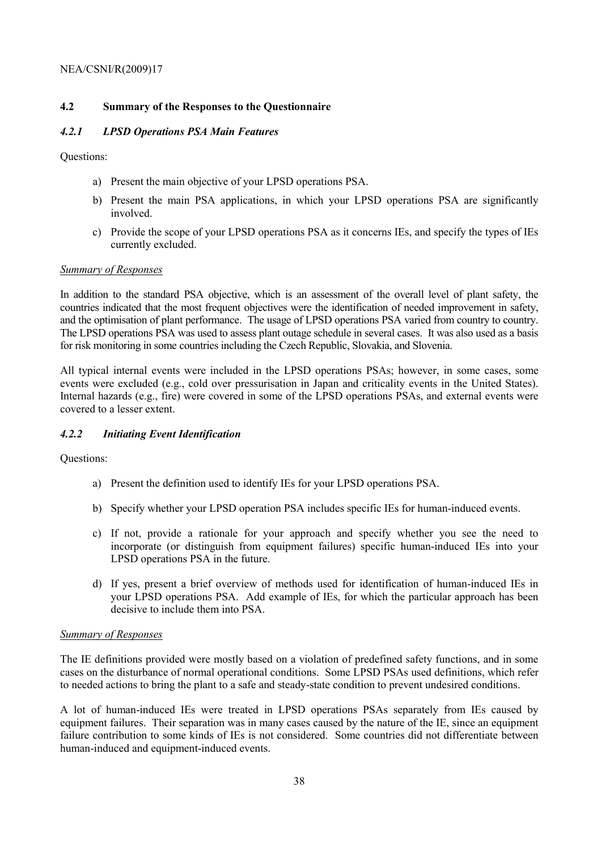### **4.2 Summary of the Responses to the Questionnaire**

### *4.2.1 LPSD Operations PSA Main Features*

Questions:

- a) Present the main objective of your LPSD operations PSA.
- b) Present the main PSA applications, in which your LPSD operations PSA are significantly involved.
- c) Provide the scope of your LPSD operations PSA as it concerns IEs, and specify the types of IEs currently excluded.

#### *Summary of Responses*

In addition to the standard PSA objective, which is an assessment of the overall level of plant safety, the countries indicated that the most frequent objectives were the identification of needed improvement in safety, and the optimisation of plant performance. The usage of LPSD operations PSA varied from country to country. The LPSD operations PSA was used to assess plant outage schedule in several cases. It was also used as a basis for risk monitoring in some countries including the Czech Republic, Slovakia, and Slovenia.

All typical internal events were included in the LPSD operations PSAs; however, in some cases, some events were excluded (e.g., cold over pressurisation in Japan and criticality events in the United States). Internal hazards (e.g., fire) were covered in some of the LPSD operations PSAs, and external events were covered to a lesser extent.

#### *4.2.2 Initiating Event Identification*

Questions:

- a) Present the definition used to identify IEs for your LPSD operations PSA.
- b) Specify whether your LPSD operation PSA includes specific IEs for human-induced events.
- c) If not, provide a rationale for your approach and specify whether you see the need to incorporate (or distinguish from equipment failures) specific human-induced IEs into your LPSD operations PSA in the future.
- d) If yes, present a brief overview of methods used for identification of human-induced IEs in your LPSD operations PSA. Add example of IEs, for which the particular approach has been decisive to include them into PSA.

#### *Summary of Responses*

The IE definitions provided were mostly based on a violation of predefined safety functions, and in some cases on the disturbance of normal operational conditions. Some LPSD PSAs used definitions, which refer to needed actions to bring the plant to a safe and steady-state condition to prevent undesired conditions.

A lot of human-induced IEs were treated in LPSD operations PSAs separately from IEs caused by equipment failures. Their separation was in many cases caused by the nature of the IE, since an equipment failure contribution to some kinds of IEs is not considered. Some countries did not differentiate between human-induced and equipment-induced events.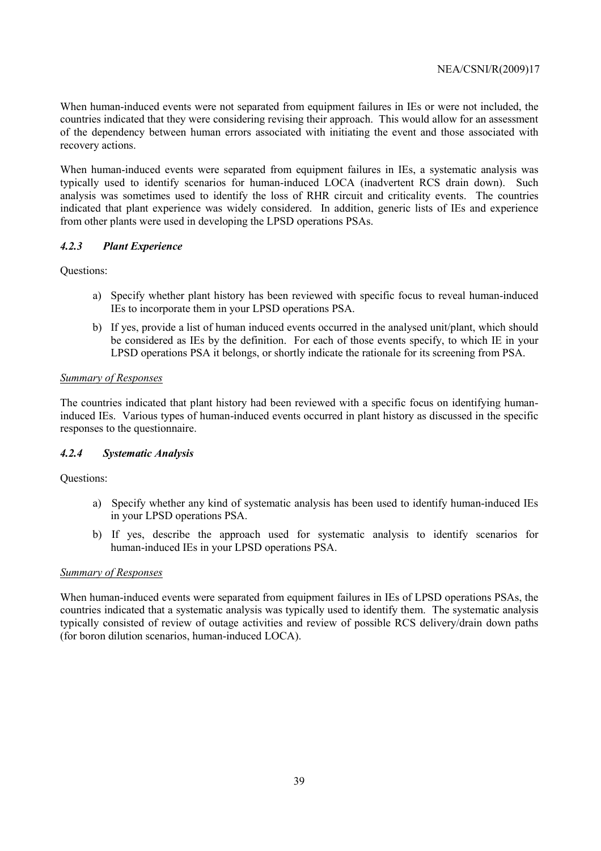When human-induced events were not separated from equipment failures in IEs or were not included, the countries indicated that they were considering revising their approach. This would allow for an assessment of the dependency between human errors associated with initiating the event and those associated with recovery actions.

When human-induced events were separated from equipment failures in IEs, a systematic analysis was typically used to identify scenarios for human-induced LOCA (inadvertent RCS drain down). Such analysis was sometimes used to identify the loss of RHR circuit and criticality events. The countries indicated that plant experience was widely considered. In addition, generic lists of IEs and experience from other plants were used in developing the LPSD operations PSAs.

### *4.2.3 Plant Experience*

Questions:

- a) Specify whether plant history has been reviewed with specific focus to reveal human-induced IEs to incorporate them in your LPSD operations PSA.
- b) If yes, provide a list of human induced events occurred in the analysed unit/plant, which should be considered as IEs by the definition. For each of those events specify, to which IE in your LPSD operations PSA it belongs, or shortly indicate the rationale for its screening from PSA.

### *Summary of Responses*

The countries indicated that plant history had been reviewed with a specific focus on identifying humaninduced IEs. Various types of human-induced events occurred in plant history as discussed in the specific responses to the questionnaire.

### *4.2.4 Systematic Analysis*

Questions:

- a) Specify whether any kind of systematic analysis has been used to identify human-induced IEs in your LPSD operations PSA.
- b) If yes, describe the approach used for systematic analysis to identify scenarios for human-induced IEs in your LPSD operations PSA.

### *Summary of Responses*

When human-induced events were separated from equipment failures in IEs of LPSD operations PSAs, the countries indicated that a systematic analysis was typically used to identify them. The systematic analysis typically consisted of review of outage activities and review of possible RCS delivery/drain down paths (for boron dilution scenarios, human-induced LOCA).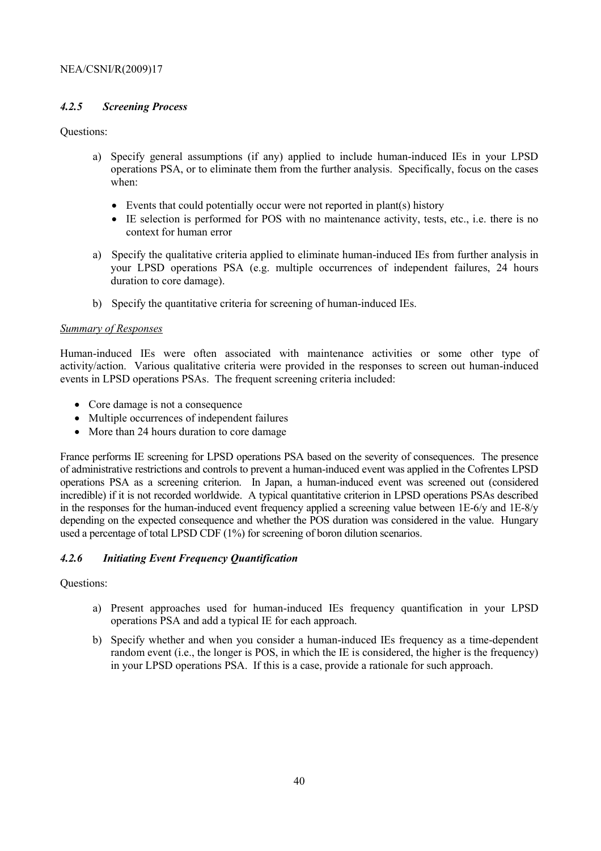### *4.2.5 Screening Process*

### Questions:

- a) Specify general assumptions (if any) applied to include human-induced IEs in your LPSD operations PSA, or to eliminate them from the further analysis. Specifically, focus on the cases when:
	- Events that could potentially occur were not reported in plant(s) history
	- IE selection is performed for POS with no maintenance activity, tests, etc., i.e. there is no context for human error
- a) Specify the qualitative criteria applied to eliminate human-induced IEs from further analysis in your LPSD operations PSA (e.g. multiple occurrences of independent failures, 24 hours duration to core damage).
- b) Specify the quantitative criteria for screening of human-induced IEs.

### *Summary of Responses*

Human-induced IEs were often associated with maintenance activities or some other type of activity/action. Various qualitative criteria were provided in the responses to screen out human-induced events in LPSD operations PSAs. The frequent screening criteria included:

- Core damage is not a consequence
- Multiple occurrences of independent failures
- More than 24 hours duration to core damage

France performs IE screening for LPSD operations PSA based on the severity of consequences. The presence of administrative restrictions and controls to prevent a human-induced event was applied in the Cofrentes LPSD operations PSA as a screening criterion. In Japan, a human-induced event was screened out (considered incredible) if it is not recorded worldwide. A typical quantitative criterion in LPSD operations PSAs described in the responses for the human-induced event frequency applied a screening value between 1E-6/y and 1E-8/y depending on the expected consequence and whether the POS duration was considered in the value. Hungary used a percentage of total LPSD CDF (1%) for screening of boron dilution scenarios.

### *4.2.6 Initiating Event Frequency Quantification*

### Questions:

- a) Present approaches used for human-induced IEs frequency quantification in your LPSD operations PSA and add a typical IE for each approach.
- b) Specify whether and when you consider a human-induced IEs frequency as a time-dependent random event (i.e., the longer is POS, in which the IE is considered, the higher is the frequency) in your LPSD operations PSA. If this is a case, provide a rationale for such approach.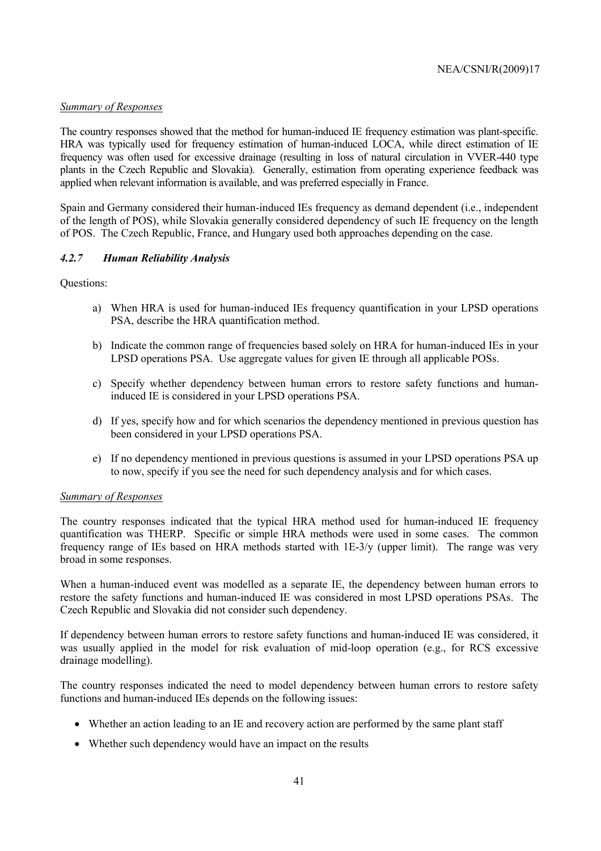### *Summary of Responses*

The country responses showed that the method for human-induced IE frequency estimation was plant-specific. HRA was typically used for frequency estimation of human-induced LOCA, while direct estimation of IE frequency was often used for excessive drainage (resulting in loss of natural circulation in VVER-440 type plants in the Czech Republic and Slovakia). Generally, estimation from operating experience feedback was applied when relevant information is available, and was preferred especially in France.

Spain and Germany considered their human-induced IEs frequency as demand dependent (i.e., independent of the length of POS), while Slovakia generally considered dependency of such IE frequency on the length of POS. The Czech Republic, France, and Hungary used both approaches depending on the case.

#### *4.2.7 Human Reliability Analysis*

Questions:

- a) When HRA is used for human-induced IEs frequency quantification in your LPSD operations PSA, describe the HRA quantification method.
- b) Indicate the common range of frequencies based solely on HRA for human-induced IEs in your LPSD operations PSA. Use aggregate values for given IE through all applicable POSs.
- c) Specify whether dependency between human errors to restore safety functions and humaninduced IE is considered in your LPSD operations PSA.
- d) If yes, specify how and for which scenarios the dependency mentioned in previous question has been considered in your LPSD operations PSA.
- e) If no dependency mentioned in previous questions is assumed in your LPSD operations PSA up to now, specify if you see the need for such dependency analysis and for which cases.

#### *Summary of Responses*

The country responses indicated that the typical HRA method used for human-induced IE frequency quantification was THERP. Specific or simple HRA methods were used in some cases. The common frequency range of IEs based on HRA methods started with 1E-3/y (upper limit). The range was very broad in some responses.

When a human-induced event was modelled as a separate IE, the dependency between human errors to restore the safety functions and human-induced IE was considered in most LPSD operations PSAs. The Czech Republic and Slovakia did not consider such dependency.

If dependency between human errors to restore safety functions and human-induced IE was considered, it was usually applied in the model for risk evaluation of mid-loop operation (e.g., for RCS excessive drainage modelling).

The country responses indicated the need to model dependency between human errors to restore safety functions and human-induced IEs depends on the following issues:

- Whether an action leading to an IE and recovery action are performed by the same plant staff
- Whether such dependency would have an impact on the results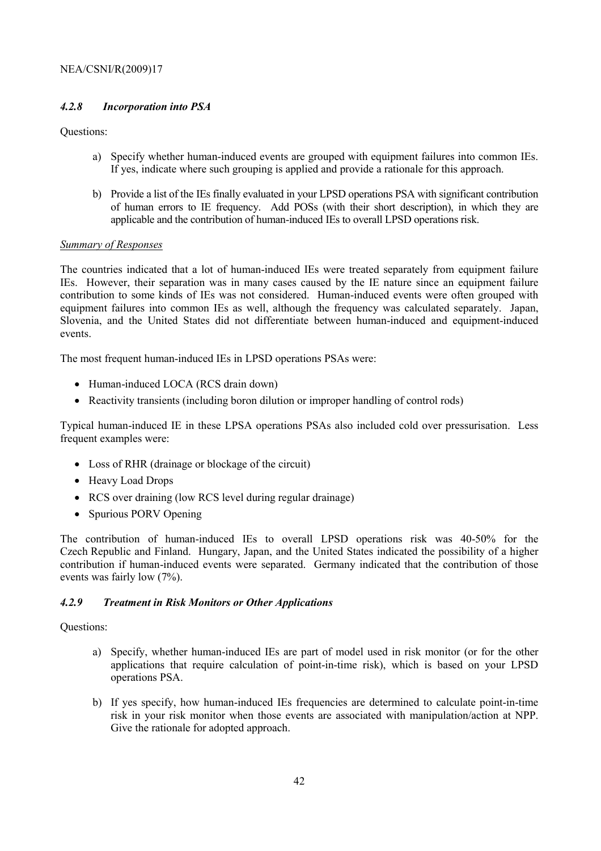### *4.2.8 Incorporation into PSA*

Questions:

- a) Specify whether human-induced events are grouped with equipment failures into common IEs. If yes, indicate where such grouping is applied and provide a rationale for this approach.
- b) Provide a list of the IEs finally evaluated in your LPSD operations PSA with significant contribution of human errors to IE frequency. Add POSs (with their short description), in which they are applicable and the contribution of human-induced IEs to overall LPSD operations risk.

### *Summary of Responses*

The countries indicated that a lot of human-induced IEs were treated separately from equipment failure IEs. However, their separation was in many cases caused by the IE nature since an equipment failure contribution to some kinds of IEs was not considered. Human-induced events were often grouped with equipment failures into common IEs as well, although the frequency was calculated separately. Japan, Slovenia, and the United States did not differentiate between human-induced and equipment-induced events.

The most frequent human-induced IEs in LPSD operations PSAs were:

- Human-induced LOCA (RCS drain down)
- Reactivity transients (including boron dilution or improper handling of control rods)

Typical human-induced IE in these LPSA operations PSAs also included cold over pressurisation. Less frequent examples were:

- Loss of RHR (drainage or blockage of the circuit)
- Heavy Load Drops
- RCS over draining (low RCS level during regular drainage)
- Spurious PORV Opening

The contribution of human-induced IEs to overall LPSD operations risk was 40-50% for the Czech Republic and Finland. Hungary, Japan, and the United States indicated the possibility of a higher contribution if human-induced events were separated. Germany indicated that the contribution of those events was fairly low (7%).

### *4.2.9 Treatment in Risk Monitors or Other Applications*

### Questions:

- a) Specify, whether human-induced IEs are part of model used in risk monitor (or for the other applications that require calculation of point-in-time risk), which is based on your LPSD operations PSA.
- b) If yes specify, how human-induced IEs frequencies are determined to calculate point-in-time risk in your risk monitor when those events are associated with manipulation/action at NPP. Give the rationale for adopted approach.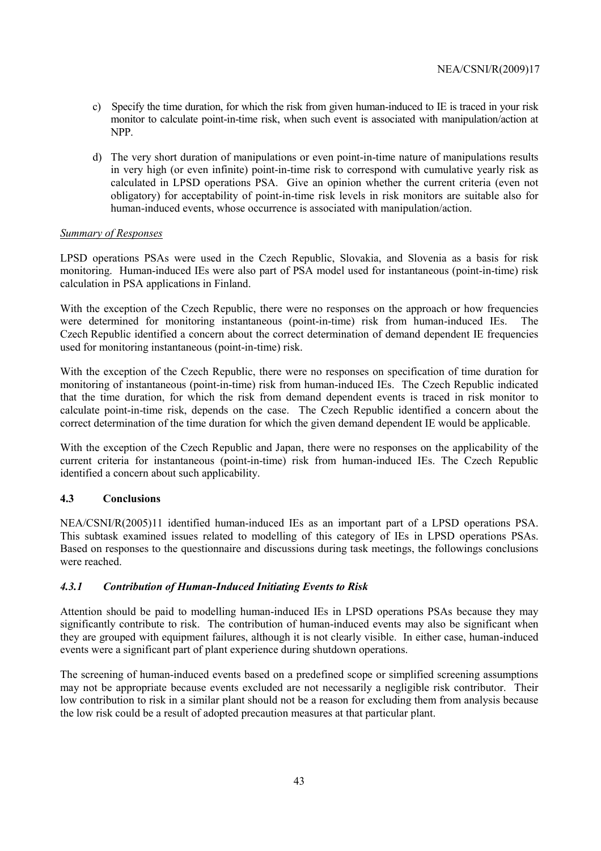- c) Specify the time duration, for which the risk from given human-induced to IE is traced in your risk monitor to calculate point-in-time risk, when such event is associated with manipulation/action at NPP.
- d) The very short duration of manipulations or even point-in-time nature of manipulations results in very high (or even infinite) point-in-time risk to correspond with cumulative yearly risk as calculated in LPSD operations PSA. Give an opinion whether the current criteria (even not obligatory) for acceptability of point-in-time risk levels in risk monitors are suitable also for human-induced events, whose occurrence is associated with manipulation/action.

### *Summary of Responses*

LPSD operations PSAs were used in the Czech Republic, Slovakia, and Slovenia as a basis for risk monitoring. Human-induced IEs were also part of PSA model used for instantaneous (point-in-time) risk calculation in PSA applications in Finland.

With the exception of the Czech Republic, there were no responses on the approach or how frequencies were determined for monitoring instantaneous (point-in-time) risk from human-induced IEs. The Czech Republic identified a concern about the correct determination of demand dependent IE frequencies used for monitoring instantaneous (point-in-time) risk.

With the exception of the Czech Republic, there were no responses on specification of time duration for monitoring of instantaneous (point-in-time) risk from human-induced IEs. The Czech Republic indicated that the time duration, for which the risk from demand dependent events is traced in risk monitor to calculate point-in-time risk, depends on the case. The Czech Republic identified a concern about the correct determination of the time duration for which the given demand dependent IE would be applicable.

With the exception of the Czech Republic and Japan, there were no responses on the applicability of the current criteria for instantaneous (point-in-time) risk from human-induced IEs. The Czech Republic identified a concern about such applicability.

## **4.3 Conclusions**

NEA/CSNI/R(2005)11 identified human-induced IEs as an important part of a LPSD operations PSA. This subtask examined issues related to modelling of this category of IEs in LPSD operations PSAs. Based on responses to the questionnaire and discussions during task meetings, the followings conclusions were reached.

## *4.3.1 Contribution of Human-Induced Initiating Events to Risk*

Attention should be paid to modelling human-induced IEs in LPSD operations PSAs because they may significantly contribute to risk. The contribution of human-induced events may also be significant when they are grouped with equipment failures, although it is not clearly visible. In either case, human-induced events were a significant part of plant experience during shutdown operations.

The screening of human-induced events based on a predefined scope or simplified screening assumptions may not be appropriate because events excluded are not necessarily a negligible risk contributor. Their low contribution to risk in a similar plant should not be a reason for excluding them from analysis because the low risk could be a result of adopted precaution measures at that particular plant.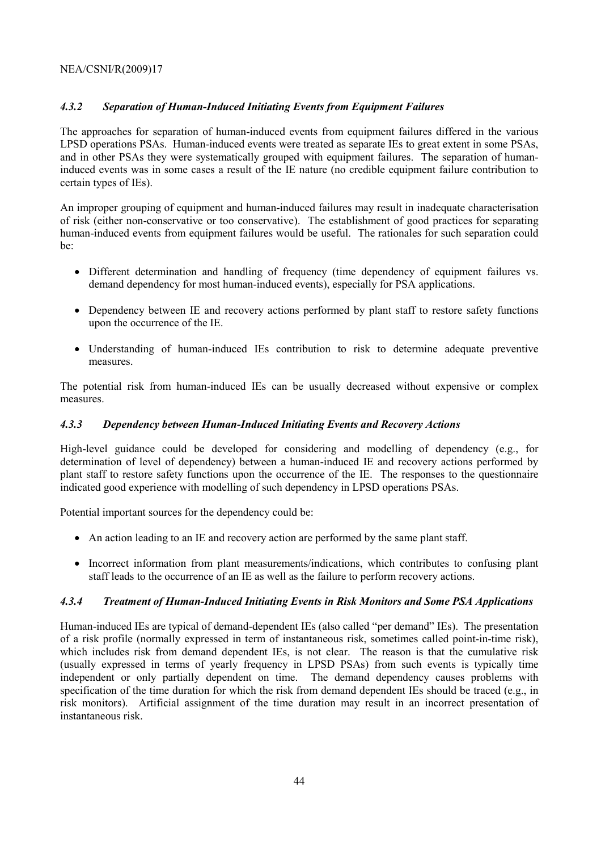### *4.3.2 Separation of Human-Induced Initiating Events from Equipment Failures*

The approaches for separation of human-induced events from equipment failures differed in the various LPSD operations PSAs. Human-induced events were treated as separate IEs to great extent in some PSAs, and in other PSAs they were systematically grouped with equipment failures. The separation of humaninduced events was in some cases a result of the IE nature (no credible equipment failure contribution to certain types of IEs).

An improper grouping of equipment and human-induced failures may result in inadequate characterisation of risk (either non-conservative or too conservative). The establishment of good practices for separating human-induced events from equipment failures would be useful. The rationales for such separation could be:

- Different determination and handling of frequency (time dependency of equipment failures vs. demand dependency for most human-induced events), especially for PSA applications.
- Dependency between IE and recovery actions performed by plant staff to restore safety functions upon the occurrence of the IE.
- Understanding of human-induced IEs contribution to risk to determine adequate preventive measures.

The potential risk from human-induced IEs can be usually decreased without expensive or complex measures.

### *4.3.3 Dependency between Human-Induced Initiating Events and Recovery Actions*

High-level guidance could be developed for considering and modelling of dependency (e.g., for determination of level of dependency) between a human-induced IE and recovery actions performed by plant staff to restore safety functions upon the occurrence of the IE. The responses to the questionnaire indicated good experience with modelling of such dependency in LPSD operations PSAs.

Potential important sources for the dependency could be:

- An action leading to an IE and recovery action are performed by the same plant staff.
- Incorrect information from plant measurements/indications, which contributes to confusing plant staff leads to the occurrence of an IE as well as the failure to perform recovery actions.

### *4.3.4 Treatment of Human-Induced Initiating Events in Risk Monitors and Some PSA Applications*

Human-induced IEs are typical of demand-dependent IEs (also called "per demand" IEs). The presentation of a risk profile (normally expressed in term of instantaneous risk, sometimes called point-in-time risk), which includes risk from demand dependent IEs, is not clear. The reason is that the cumulative risk (usually expressed in terms of yearly frequency in LPSD PSAs) from such events is typically time independent or only partially dependent on time. The demand dependency causes problems with specification of the time duration for which the risk from demand dependent IEs should be traced (e.g., in risk monitors). Artificial assignment of the time duration may result in an incorrect presentation of instantaneous risk.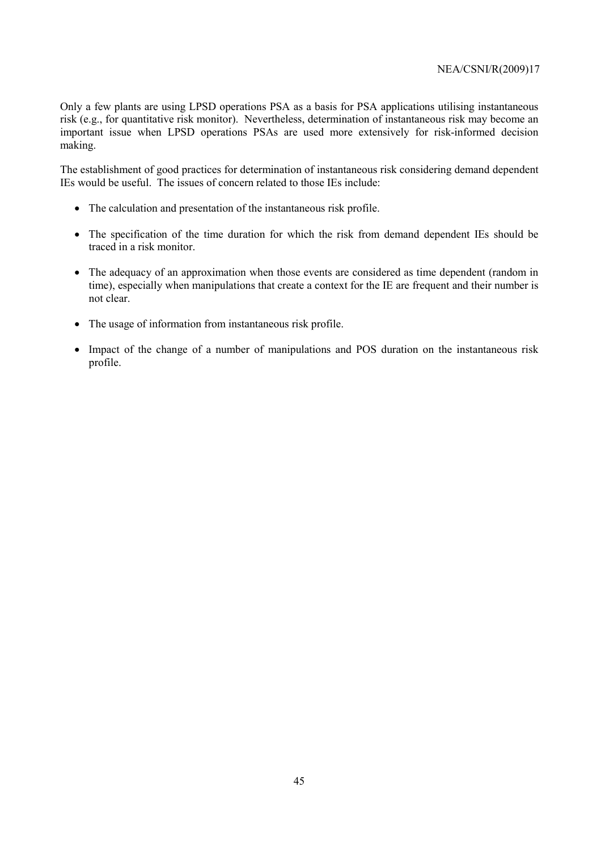Only a few plants are using LPSD operations PSA as a basis for PSA applications utilising instantaneous risk (e.g., for quantitative risk monitor). Nevertheless, determination of instantaneous risk may become an important issue when LPSD operations PSAs are used more extensively for risk-informed decision making.

The establishment of good practices for determination of instantaneous risk considering demand dependent IEs would be useful. The issues of concern related to those IEs include:

- The calculation and presentation of the instantaneous risk profile.
- The specification of the time duration for which the risk from demand dependent IEs should be traced in a risk monitor.
- The adequacy of an approximation when those events are considered as time dependent (random in time), especially when manipulations that create a context for the IE are frequent and their number is not clear.
- The usage of information from instantaneous risk profile.
- Impact of the change of a number of manipulations and POS duration on the instantaneous risk profile.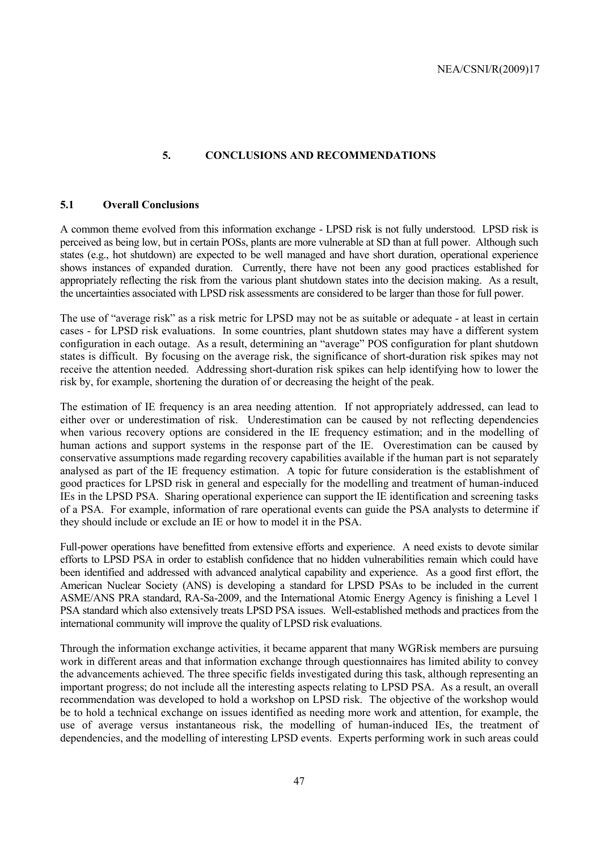### **5. CONCLUSIONS AND RECOMMENDATIONS**

### **5.1 Overall Conclusions**

A common theme evolved from this information exchange - LPSD risk is not fully understood. LPSD risk is perceived as being low, but in certain POSs, plants are more vulnerable at SD than at full power. Although such states (e.g., hot shutdown) are expected to be well managed and have short duration, operational experience shows instances of expanded duration. Currently, there have not been any good practices established for appropriately reflecting the risk from the various plant shutdown states into the decision making. As a result, the uncertainties associated with LPSD risk assessments are considered to be larger than those for full power.

The use of "average risk" as a risk metric for LPSD may not be as suitable or adequate - at least in certain cases - for LPSD risk evaluations. In some countries, plant shutdown states may have a different system configuration in each outage. As a result, determining an "average" POS configuration for plant shutdown states is difficult. By focusing on the average risk, the significance of short-duration risk spikes may not receive the attention needed. Addressing short-duration risk spikes can help identifying how to lower the risk by, for example, shortening the duration of or decreasing the height of the peak.

The estimation of IE frequency is an area needing attention. If not appropriately addressed, can lead to either over or underestimation of risk. Underestimation can be caused by not reflecting dependencies when various recovery options are considered in the IE frequency estimation; and in the modelling of human actions and support systems in the response part of the IE. Overestimation can be caused by conservative assumptions made regarding recovery capabilities available if the human part is not separately analysed as part of the IE frequency estimation. A topic for future consideration is the establishment of good practices for LPSD risk in general and especially for the modelling and treatment of human-induced IEs in the LPSD PSA. Sharing operational experience can support the IE identification and screening tasks of a PSA. For example, information of rare operational events can guide the PSA analysts to determine if they should include or exclude an IE or how to model it in the PSA.

Full-power operations have benefitted from extensive efforts and experience. A need exists to devote similar efforts to LPSD PSA in order to establish confidence that no hidden vulnerabilities remain which could have been identified and addressed with advanced analytical capability and experience. As a good first effort, the American Nuclear Society (ANS) is developing a standard for LPSD PSAs to be included in the current ASME/ANS PRA standard, RA-Sa-2009, and the International Atomic Energy Agency is finishing a Level 1 PSA standard which also extensively treats LPSD PSA issues. Well-established methods and practices from the international community will improve the quality of LPSD risk evaluations.

Through the information exchange activities, it became apparent that many WGRisk members are pursuing work in different areas and that information exchange through questionnaires has limited ability to convey the advancements achieved. The three specific fields investigated during this task, although representing an important progress; do not include all the interesting aspects relating to LPSD PSA. As a result, an overall recommendation was developed to hold a workshop on LPSD risk. The objective of the workshop would be to hold a technical exchange on issues identified as needing more work and attention, for example, the use of average versus instantaneous risk, the modelling of human-induced IEs, the treatment of dependencies, and the modelling of interesting LPSD events. Experts performing work in such areas could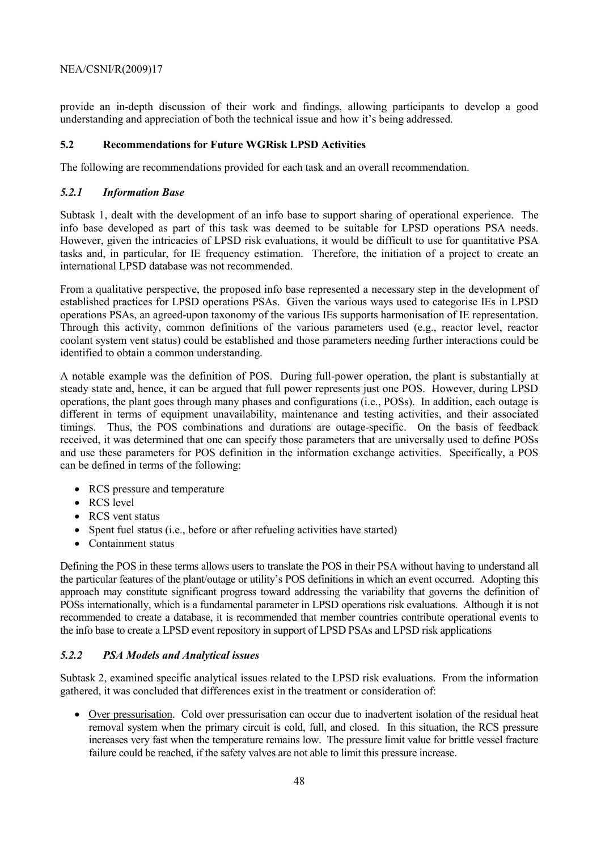provide an in-depth discussion of their work and findings, allowing participants to develop a good understanding and appreciation of both the technical issue and how it's being addressed.

### **5.2 Recommendations for Future WGRisk LPSD Activities**

The following are recommendations provided for each task and an overall recommendation.

### *5.2.1 Information Base*

Subtask 1, dealt with the development of an info base to support sharing of operational experience. The info base developed as part of this task was deemed to be suitable for LPSD operations PSA needs. However, given the intricacies of LPSD risk evaluations, it would be difficult to use for quantitative PSA tasks and, in particular, for IE frequency estimation. Therefore, the initiation of a project to create an international LPSD database was not recommended.

From a qualitative perspective, the proposed info base represented a necessary step in the development of established practices for LPSD operations PSAs. Given the various ways used to categorise IEs in LPSD operations PSAs, an agreed-upon taxonomy of the various IEs supports harmonisation of IE representation. Through this activity, common definitions of the various parameters used (e.g., reactor level, reactor coolant system vent status) could be established and those parameters needing further interactions could be identified to obtain a common understanding.

A notable example was the definition of POS. During full-power operation, the plant is substantially at steady state and, hence, it can be argued that full power represents just one POS. However, during LPSD operations, the plant goes through many phases and configurations (i.e., POSs). In addition, each outage is different in terms of equipment unavailability, maintenance and testing activities, and their associated timings. Thus, the POS combinations and durations are outage-specific. On the basis of feedback received, it was determined that one can specify those parameters that are universally used to define POSs and use these parameters for POS definition in the information exchange activities. Specifically, a POS can be defined in terms of the following:

- RCS pressure and temperature
- RCS level
- RCS vent status
- Spent fuel status (i.e., before or after refueling activities have started)
- Containment status

Defining the POS in these terms allows users to translate the POS in their PSA without having to understand all the particular features of the plant/outage or utility's POS definitions in which an event occurred. Adopting this approach may constitute significant progress toward addressing the variability that governs the definition of POSs internationally, which is a fundamental parameter in LPSD operations risk evaluations. Although it is not recommended to create a database, it is recommended that member countries contribute operational events to the info base to create a LPSD event repository in support of LPSD PSAs and LPSD risk applications

### *5.2.2 PSA Models and Analytical issues*

Subtask 2, examined specific analytical issues related to the LPSD risk evaluations. From the information gathered, it was concluded that differences exist in the treatment or consideration of:

• Over pressurisation. Cold over pressurisation can occur due to inadvertent isolation of the residual heat removal system when the primary circuit is cold, full, and closed. In this situation, the RCS pressure increases very fast when the temperature remains low. The pressure limit value for brittle vessel fracture failure could be reached, if the safety valves are not able to limit this pressure increase.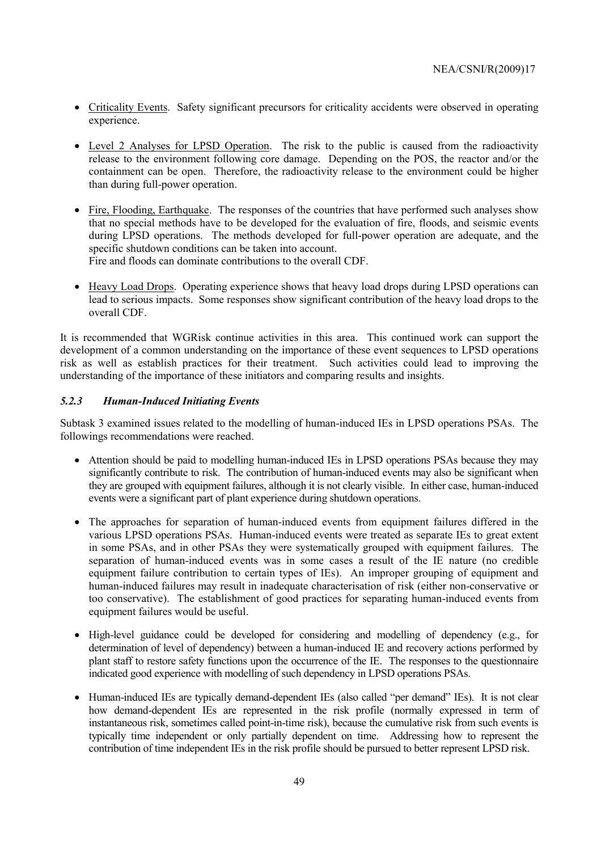- Criticality Events. Safety significant precursors for criticality accidents were observed in operating experience.
- Level 2 Analyses for LPSD Operation. The risk to the public is caused from the radioactivity release to the environment following core damage. Depending on the POS, the reactor and/or the containment can be open. Therefore, the radioactivity release to the environment could be higher than during full-power operation.
- Fire, Flooding, Earthquake. The responses of the countries that have performed such analyses show that no special methods have to be developed for the evaluation of fire, floods, and seismic events during LPSD operations. The methods developed for full-power operation are adequate, and the specific shutdown conditions can be taken into account.

Fire and floods can dominate contributions to the overall CDF.

• Heavy Load Drops. Operating experience shows that heavy load drops during LPSD operations can lead to serious impacts. Some responses show significant contribution of the heavy load drops to the overall CDF.

It is recommended that WGRisk continue activities in this area. This continued work can support the development of a common understanding on the importance of these event sequences to LPSD operations risk as well as establish practices for their treatment. Such activities could lead to improving the understanding of the importance of these initiators and comparing results and insights.

### *5.2.3 Human-Induced Initiating Events*

Subtask 3 examined issues related to the modelling of human-induced IEs in LPSD operations PSAs. The followings recommendations were reached.

- Attention should be paid to modelling human-induced IEs in LPSD operations PSAs because they may significantly contribute to risk. The contribution of human-induced events may also be significant when they are grouped with equipment failures, although it is not clearly visible. In either case, human-induced events were a significant part of plant experience during shutdown operations.
- The approaches for separation of human-induced events from equipment failures differed in the various LPSD operations PSAs. Human-induced events were treated as separate IEs to great extent in some PSAs, and in other PSAs they were systematically grouped with equipment failures. The separation of human-induced events was in some cases a result of the IE nature (no credible equipment failure contribution to certain types of IEs). An improper grouping of equipment and human-induced failures may result in inadequate characterisation of risk (either non-conservative or too conservative). The establishment of good practices for separating human-induced events from equipment failures would be useful.
- High-level guidance could be developed for considering and modelling of dependency (e.g., for determination of level of dependency) between a human-induced IE and recovery actions performed by plant staff to restore safety functions upon the occurrence of the IE. The responses to the questionnaire indicated good experience with modelling of such dependency in LPSD operations PSAs.
- Human-induced IEs are typically demand-dependent IEs (also called "per demand" IEs). It is not clear how demand-dependent IEs are represented in the risk profile (normally expressed in term of instantaneous risk, sometimes called point-in-time risk), because the cumulative risk from such events is typically time independent or only partially dependent on time. Addressing how to represent the contribution of time independent IEs in the risk profile should be pursued to better represent LPSD risk.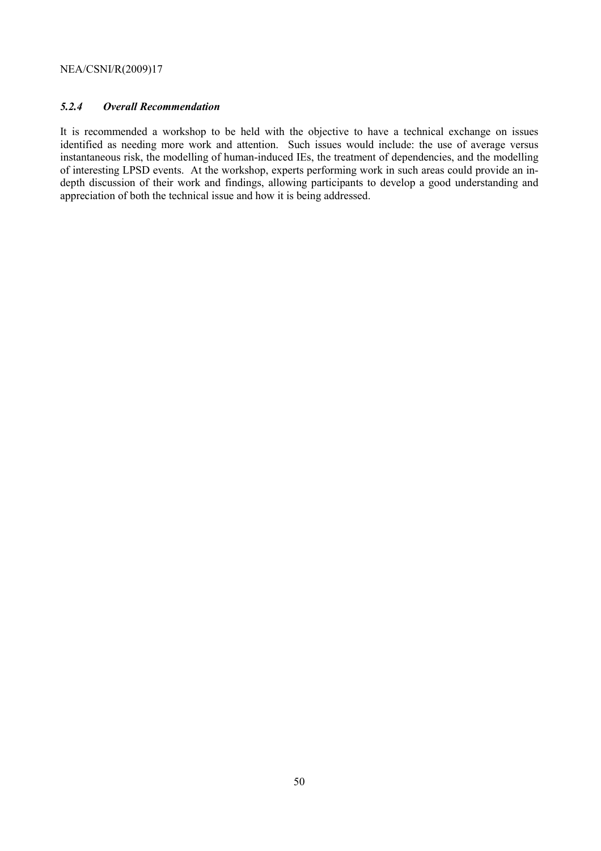### *5.2.4 Overall Recommendation*

It is recommended a workshop to be held with the objective to have a technical exchange on issues identified as needing more work and attention. Such issues would include: the use of average versus instantaneous risk, the modelling of human-induced IEs, the treatment of dependencies, and the modelling of interesting LPSD events. At the workshop, experts performing work in such areas could provide an indepth discussion of their work and findings, allowing participants to develop a good understanding and appreciation of both the technical issue and how it is being addressed.